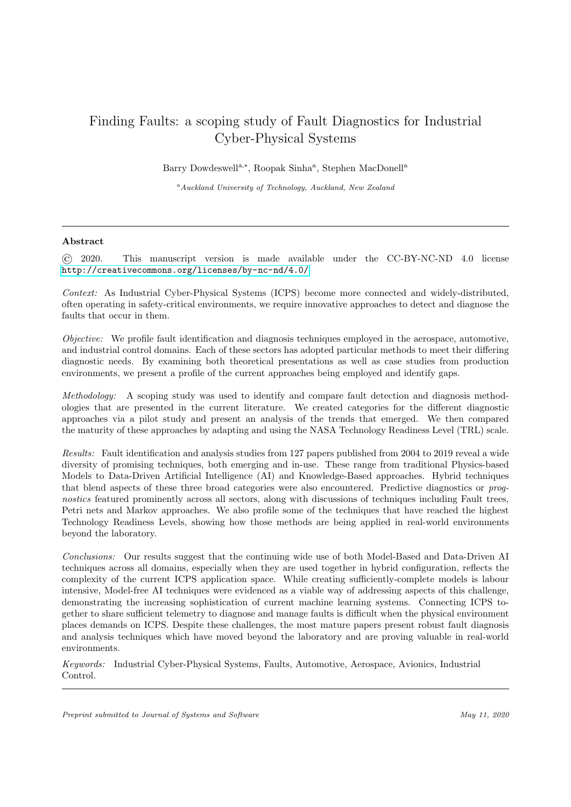# Finding Faults: a scoping study of Fault Diagnostics for Industrial Cyber-Physical Systems

Barry Dowdeswell<sup>a,\*</sup>, Roopak Sinha<sup>a</sup>, Stephen MacDonell<sup>a</sup>

<sup>a</sup>Auckland University of Technology, Auckland, New Zealand

## Abstract

© 2020. This manuscript version is made available under the CC-BY-NC-ND 4.0 license <http://creativecommons.org/licenses/by-nc-nd/4.0/>

Context: As Industrial Cyber-Physical Systems (ICPS) become more connected and widely-distributed, often operating in safety-critical environments, we require innovative approaches to detect and diagnose the faults that occur in them.

Objective: We profile fault identification and diagnosis techniques employed in the aerospace, automotive, and industrial control domains. Each of these sectors has adopted particular methods to meet their differing diagnostic needs. By examining both theoretical presentations as well as case studies from production environments, we present a profile of the current approaches being employed and identify gaps.

Methodology: A scoping study was used to identify and compare fault detection and diagnosis methodologies that are presented in the current literature. We created categories for the different diagnostic approaches via a pilot study and present an analysis of the trends that emerged. We then compared the maturity of these approaches by adapting and using the NASA Technology Readiness Level (TRL) scale.

Results: Fault identification and analysis studies from 127 papers published from 2004 to 2019 reveal a wide diversity of promising techniques, both emerging and in-use. These range from traditional Physics-based Models to Data-Driven Artificial Intelligence (AI) and Knowledge-Based approaches. Hybrid techniques that blend aspects of these three broad categories were also encountered. Predictive diagnostics or prognostics featured prominently across all sectors, along with discussions of techniques including Fault trees, Petri nets and Markov approaches. We also profile some of the techniques that have reached the highest Technology Readiness Levels, showing how those methods are being applied in real-world environments beyond the laboratory.

Conclusions: Our results suggest that the continuing wide use of both Model-Based and Data-Driven AI techniques across all domains, especially when they are used together in hybrid configuration, reflects the complexity of the current ICPS application space. While creating sufficiently-complete models is labour intensive, Model-free AI techniques were evidenced as a viable way of addressing aspects of this challenge, demonstrating the increasing sophistication of current machine learning systems. Connecting ICPS together to share sufficient telemetry to diagnose and manage faults is difficult when the physical environment places demands on ICPS. Despite these challenges, the most mature papers present robust fault diagnosis and analysis techniques which have moved beyond the laboratory and are proving valuable in real-world environments.

Keywords: Industrial Cyber-Physical Systems, Faults, Automotive, Aerospace, Avionics, Industrial Control.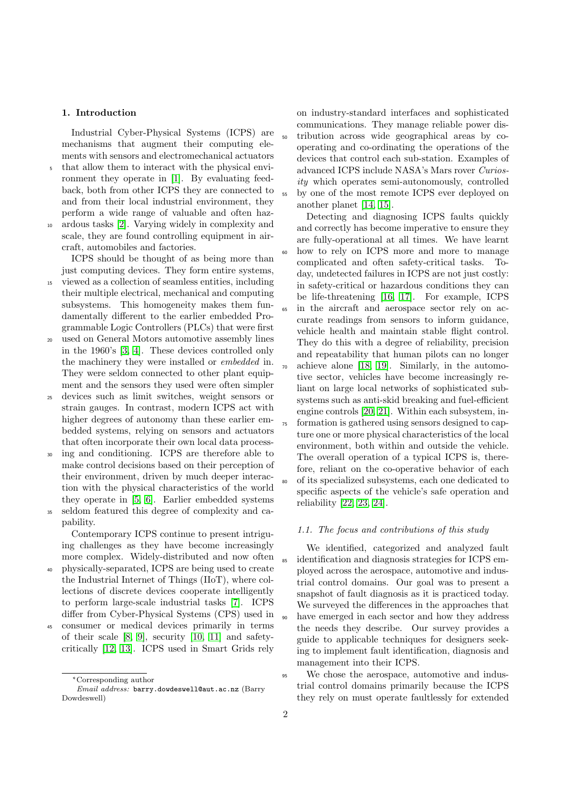## 1. Introduction

Industrial Cyber-Physical Systems (ICPS) are mechanisms that augment their computing elements with sensors and electromechanical actuators

<sup>5</sup> that allow them to interact with the physical environment they operate in [\[1\]](#page-15-0). By evaluating feedback, both from other ICPS they are connected to and from their local industrial environment, they perform a wide range of valuable and often haz-

<sup>10</sup> ardous tasks [\[2\]](#page-15-1). Varying widely in complexity and scale, they are found controlling equipment in aircraft, automobiles and factories.

ICPS should be thought of as being more than just computing devices. They form entire systems,

- <sup>15</sup> viewed as a collection of seamless entities, including their multiple electrical, mechanical and computing subsystems. This homogeneity makes them fundamentally different to the earlier embedded Programmable Logic Controllers (PLCs) that were first
- <sup>20</sup> used on General Motors automotive assembly lines in the 1960's [\[3,](#page-15-2) [4\]](#page-16-0). These devices controlled only the machinery they were installed or embedded in. They were seldom connected to other plant equipment and the sensors they used were often simpler
- <sup>25</sup> devices such as limit switches, weight sensors or strain gauges. In contrast, modern ICPS act with higher degrees of autonomy than these earlier embedded systems, relying on sensors and actuators that often incorporate their own local data process-
- <sup>30</sup> ing and conditioning. ICPS are therefore able to make control decisions based on their perception of their environment, driven by much deeper interaction with the physical characteristics of the world they operate in [\[5,](#page-16-1) [6\]](#page-16-2). Earlier embedded systems <sup>35</sup> seldom featured this degree of complexity and ca-

pability. Contemporary ICPS continue to present intriguing challenges as they have become increasingly

- more complex. Widely-distributed and now often <sup>40</sup> physically-separated, ICPS are being used to create the Industrial Internet of Things (IIoT), where collections of discrete devices cooperate intelligently to perform large-scale industrial tasks [\[7\]](#page-16-3). ICPS differ from Cyber-Physical Systems (CPS) used in
- <sup>45</sup> consumer or medical devices primarily in terms of their scale [\[8,](#page-16-4) [9\]](#page-16-5), security [\[10,](#page-16-6) [11\]](#page-16-7) and safetycritically [\[12,](#page-16-8) [13\]](#page-16-9). ICPS used in Smart Grids rely

on industry-standard interfaces and sophisticated communications. They manage reliable power dis-<sup>50</sup> tribution across wide geographical areas by cooperating and co-ordinating the operations of the devices that control each sub-station. Examples of advanced ICPS include NASA's Mars rover Curiosity which operates semi-autonomously, controlled <sup>55</sup> by one of the most remote ICPS ever deployed on another planet [\[14,](#page-16-10) [15\]](#page-16-11).

Detecting and diagnosing ICPS faults quickly and correctly has become imperative to ensure they are fully-operational at all times. We have learnt <sup>60</sup> how to rely on ICPS more and more to manage complicated and often safety-critical tasks. Today, undetected failures in ICPS are not just costly: in safety-critical or hazardous conditions they can be life-threatening [\[16,](#page-16-12) [17\]](#page-16-13). For example, ICPS <sup>65</sup> in the aircraft and aerospace sector rely on accurate readings from sensors to inform guidance, vehicle health and maintain stable flight control. They do this with a degree of reliability, precision and repeatability that human pilots can no longer <sup>70</sup> achieve alone [\[18,](#page-16-14) [19\]](#page-16-15). Similarly, in the automotive sector, vehicles have become increasingly reliant on large local networks of sophisticated subsystems such as anti-skid breaking and fuel-efficient engine controls [\[20,](#page-16-16) [21\]](#page-16-17). Within each subsystem, in-<sup>75</sup> formation is gathered using sensors designed to capture one or more physical characteristics of the local environment, both within and outside the vehicle. The overall operation of a typical ICPS is, therefore, reliant on the co-operative behavior of each of its specialized subsystems, each one dedicated to specific aspects of the vehicle's safe operation and reliability [\[22,](#page-16-18) [23,](#page-16-19) [24\]](#page-17-0).

# <span id="page-1-0"></span>1.1. The focus and contributions of this study

We identified, categorized and analyzed fault <sup>85</sup> identification and diagnosis strategies for ICPS employed across the aerospace, automotive and industrial control domains. Our goal was to present a snapshot of fault diagnosis as it is practiced today. We surveyed the differences in the approaches that have emerged in each sector and how they address the needs they describe. Our survey provides a guide to applicable techniques for designers seeking to implement fault identification, diagnosis and management into their ICPS.

<sup>95</sup> We chose the aerospace, automotive and industrial control domains primarily because the ICPS they rely on must operate faultlessly for extended

<sup>∗</sup>Corresponding author

Email address: barry.dowdeswell@aut.ac.nz (Barry Dowdeswell)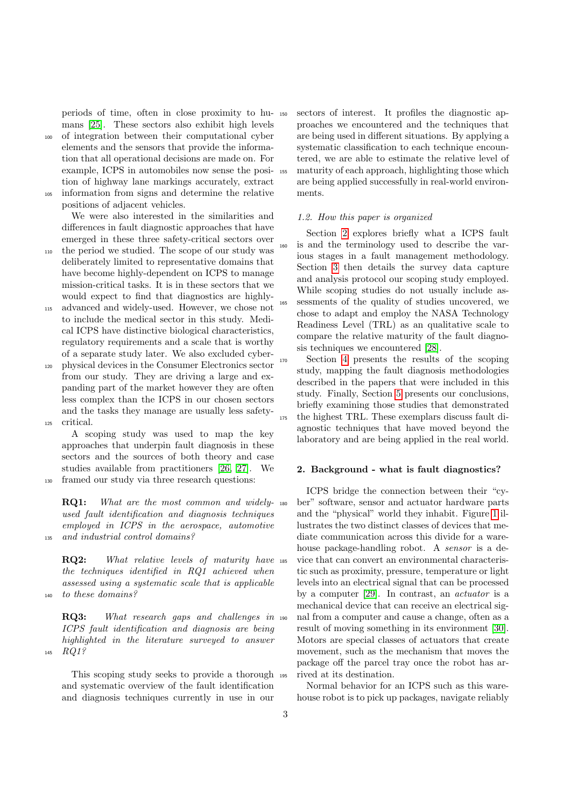periods of time, often in close proximity to humans [\[25\]](#page-17-1). These sectors also exhibit high levels

<sup>100</sup> of integration between their computational cyber elements and the sensors that provide the information that all operational decisions are made on. For example, ICPS in automobiles now sense the position of highway lane markings accurately, extract <sup>105</sup> information from signs and determine the relative

positions of adjacent vehicles. We were also interested in the similarities and differences in fault diagnostic approaches that have emerged in these three safety-critical sectors over

- <sup>110</sup> the period we studied. The scope of our study was deliberately limited to representative domains that have become highly-dependent on ICPS to manage mission-critical tasks. It is in these sectors that we would expect to find that diagnostics are highly-
- <sup>115</sup> advanced and widely-used. However, we chose not to include the medical sector in this study. Medical ICPS have distinctive biological characteristics, regulatory requirements and a scale that is worthy of a separate study later. We also excluded cyber-
- <sup>120</sup> physical devices in the Consumer Electronics sector from our study. They are driving a large and expanding part of the market however they are often less complex than the ICPS in our chosen sectors and the tasks they manage are usually less safety-<sup>125</sup> critical.

A scoping study was used to map the key approaches that underpin fault diagnosis in these sectors and the sources of both theory and case studies available from practitioners [\[26,](#page-17-2) [27\]](#page-17-3). We

<sup>130</sup> framed our study via three research questions:

RQ1: What are the most common and widely- 180 used fault identification and diagnosis techniques employed in ICPS in the aerospace, automotive <sup>135</sup> and industrial control domains?

RQ2: What relative levels of maturity have ass the techniques identified in RQ1 achieved when assessed using a systematic scale that is applicable <sup>140</sup> to these domains?

RQ3: What research gaps and challenges in 190 ICPS fault identification and diagnosis are being highlighted in the literature surveyed to answer <sup>145</sup> RQ1?

This scoping study seeks to provide a thorough and systematic overview of the fault identification and diagnosis techniques currently in use in our

sectors of interest. It profiles the diagnostic approaches we encountered and the techniques that are being used in different situations. By applying a systematic classification to each technique encountered, we are able to estimate the relative level of <sup>155</sup> maturity of each approach, highlighting those which are being applied successfully in real-world environments.

#### 1.2. How this paper is organized

Section [2](#page-2-0) explores briefly what a ICPS fault <sup>160</sup> is and the terminology used to describe the various stages in a fault management methodology. Section [3](#page-4-0) then details the survey data capture and analysis protocol our scoping study employed. While scoping studies do not usually include as-<sup>165</sup> sessments of the quality of studies uncovered, we chose to adapt and employ the NASA Technology Readiness Level (TRL) as an qualitative scale to compare the relative maturity of the fault diagnosis techniques we encountered [\[28\]](#page-17-4).

<sup>170</sup> Section [4](#page-6-0) presents the results of the scoping study, mapping the fault diagnosis methodologies described in the papers that were included in this study. Finally, Section [5](#page-11-0) presents our conclusions, briefly examining those studies that demonstrated the highest TRL. These exemplars discuss fault diagnostic techniques that have moved beyond the laboratory and are being applied in the real world.

## <span id="page-2-0"></span>2. Background - what is fault diagnostics?

ICPS bridge the connection between their "cyber" software, sensor and actuator hardware parts and the "physical" world they inhabit. Figure [1](#page-3-0) illustrates the two distinct classes of devices that mediate communication across this divide for a warehouse package-handling robot. A sensor is a device that can convert an environmental characteristic such as proximity, pressure, temperature or light levels into an electrical signal that can be processed by a computer [\[29\]](#page-17-5). In contrast, an actuator is a mechanical device that can receive an electrical signal from a computer and cause a change, often as a result of moving something in its environment [\[30\]](#page-17-6). Motors are special classes of actuators that create movement, such as the mechanism that moves the package off the parcel tray once the robot has arrived at its destination.

Normal behavior for an ICPS such as this warehouse robot is to pick up packages, navigate reliably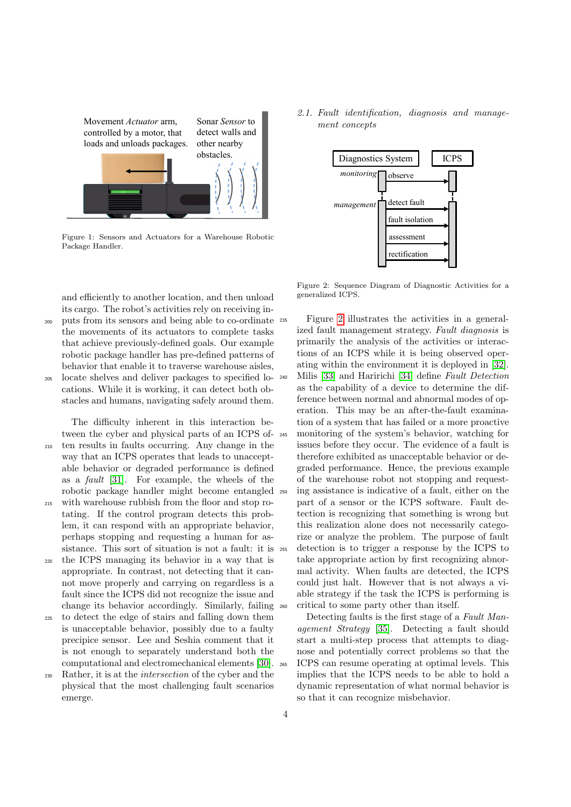<span id="page-3-0"></span>

Figure 1: Sensors and Actuators for a Warehouse Robotic Package Handler.

and efficiently to another location, and then unload its cargo. The robot's activities rely on receiving in-

<sup>200</sup> puts from its sensors and being able to co-ordinate the movements of its actuators to complete tasks that achieve previously-defined goals. Our example robotic package handler has pre-defined patterns of behavior that enable it to traverse warehouse aisles,

<sup>205</sup> locate shelves and deliver packages to specified locations. While it is working, it can detect both obstacles and humans, navigating safely around them.

The difficulty inherent in this interaction between the cyber and physical parts of an ICPS of-

- <sup>210</sup> ten results in faults occurring. Any change in the way that an ICPS operates that leads to unacceptable behavior or degraded performance is defined as a fault [\[31\]](#page-17-7). For example, the wheels of the robotic package handler might become entangled <sup>215</sup> with warehouse rubbish from the floor and stop ro-
- tating. If the control program detects this problem, it can respond with an appropriate behavior, perhaps stopping and requesting a human for assistance. This sort of situation is not a fault: it is
- <sup>220</sup> the ICPS managing its behavior in a way that is appropriate. In contrast, not detecting that it cannot move properly and carrying on regardless is a fault since the ICPS did not recognize the issue and change its behavior accordingly. Similarly, failing
- <sup>225</sup> to detect the edge of stairs and falling down them is unacceptable behavior, possibly due to a faulty precipice sensor. Lee and Seshia comment that it is not enough to separately understand both the computational and electromechanical elements [\[30\]](#page-17-6).
- <sup>230</sup> Rather, it is at the intersection of the cyber and the physical that the most challenging fault scenarios emerge.

2.1. Fault identification, diagnosis and management concepts

<span id="page-3-1"></span>

Figure 2: Sequence Diagram of Diagnostic Activities for a generalized ICPS.

Figure [2](#page-3-1) illustrates the activities in a generalized fault management strategy. Fault diagnosis is primarily the analysis of the activities or interactions of an ICPS while it is being observed operating within the environment it is deployed in [\[32\]](#page-17-8). <sup>240</sup> Milis [\[33\]](#page-17-9) and Haririchi [\[34\]](#page-17-10) define Fault Detection as the capability of a device to determine the difference between normal and abnormal modes of operation. This may be an after-the-fault examination of a system that has failed or a more proactive monitoring of the system's behavior, watching for issues before they occur. The evidence of a fault is therefore exhibited as unacceptable behavior or degraded performance. Hence, the previous example of the warehouse robot not stopping and request-<sup>250</sup> ing assistance is indicative of a fault, either on the part of a sensor or the ICPS software. Fault detection is recognizing that something is wrong but this realization alone does not necessarily categorize or analyze the problem. The purpose of fault <sup>255</sup> detection is to trigger a response by the ICPS to take appropriate action by first recognizing abnormal activity. When faults are detected, the ICPS could just halt. However that is not always a viable strategy if the task the ICPS is performing is critical to some party other than itself.

Detecting faults is the first stage of a Fault Management Strategy [\[35\]](#page-17-11). Detecting a fault should start a multi-step process that attempts to diagnose and potentially correct problems so that the <sup>265</sup> ICPS can resume operating at optimal levels. This implies that the ICPS needs to be able to hold a dynamic representation of what normal behavior is so that it can recognize misbehavior.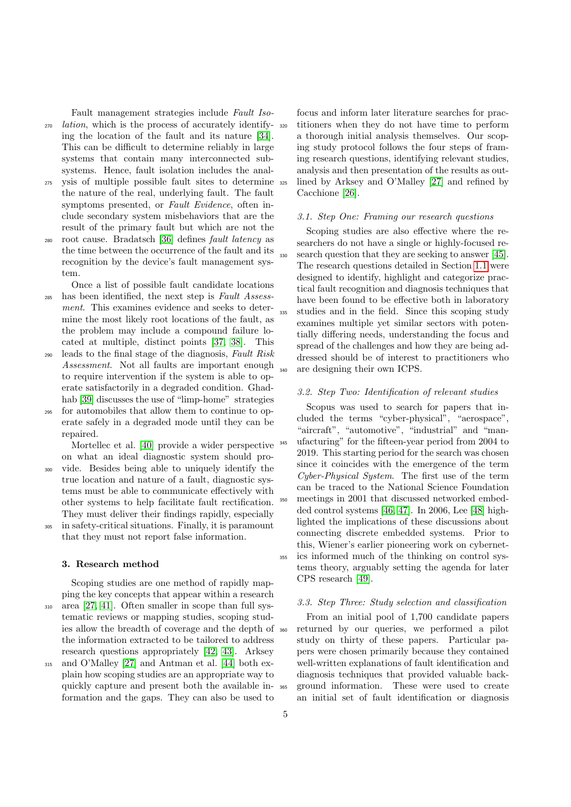Fault management strategies include Fault Iso-<sup>270</sup> lation, which is the process of accurately identifying the location of the fault and its nature [\[34\]](#page-17-10). This can be difficult to determine reliably in large systems that contain many interconnected subsystems. Hence, fault isolation includes the anal-

- <sup>275</sup> ysis of multiple possible fault sites to determine the nature of the real, underlying fault. The fault symptoms presented, or Fault Evidence, often include secondary system misbehaviors that are the result of the primary fault but which are not the
- <sup>280</sup> root cause. Bradatsch [\[36\]](#page-17-12) defines fault latency as the time between the occurrence of the fault and its recognition by the device's fault management system.
- Once a list of possible fault candidate locations <sup>285</sup> has been identified, the next step is Fault Assessment. This examines evidence and seeks to determine the most likely root locations of the fault, as the problem may include a compound failure located at multiple, distinct points [\[37,](#page-17-13) [38\]](#page-17-14). This
- <sup>290</sup> leads to the final stage of the diagnosis, Fault Risk Assessment. Not all faults are important enough to require intervention if the system is able to operate satisfactorily in a degraded condition. Ghadhab [\[39\]](#page-17-15) discusses the use of "limp-home" strategies
- for automobiles that allow them to continue to operate safely in a degraded mode until they can be repaired.

Mortellec et al. [\[40\]](#page-17-16) provide a wider perspective on what an ideal diagnostic system should pro-<sup>300</sup> vide. Besides being able to uniquely identify the true location and nature of a fault, diagnostic systems must be able to communicate effectively with

other systems to help facilitate fault rectification.

They must deliver their findings rapidly, especially <sup>305</sup> in safety-critical situations. Finally, it is paramount that they must not report false information.

## <span id="page-4-0"></span>3. Research method

Scoping studies are one method of rapidly mapping the key concepts that appear within a research <sup>310</sup> area [\[27,](#page-17-3) [41\]](#page-17-17). Often smaller in scope than full systematic reviews or mapping studies, scoping studies allow the breadth of coverage and the depth of the information extracted to be tailored to address research questions appropriately [\[42,](#page-17-18) [43\]](#page-17-19). Arksey

<sup>315</sup> and O'Malley [\[27\]](#page-17-3) and Antman et al. [\[44\]](#page-17-20) both explain how scoping studies are an appropriate way to quickly capture and present both the available information and the gaps. They can also be used to

focus and inform later literature searches for practitioners when they do not have time to perform a thorough initial analysis themselves. Our scoping study protocol follows the four steps of framing research questions, identifying relevant studies, analysis and then presentation of the results as out-<sup>325</sup> lined by Arksey and O'Malley [\[27\]](#page-17-3) and refined by Cacchione [\[26\]](#page-17-2).

#### 3.1. Step One: Framing our research questions

Scoping studies are also effective where the researchers do not have a single or highly-focused re-<sup>330</sup> search question that they are seeking to answer [\[45\]](#page-17-21). The research questions detailed in Section [1.1](#page-1-0) were designed to identify, highlight and categorize practical fault recognition and diagnosis techniques that have been found to be effective both in laboratory <sup>335</sup> studies and in the field. Since this scoping study examines multiple yet similar sectors with potentially differing needs, understanding the focus and spread of the challenges and how they are being addressed should be of interest to practitioners who <sup>340</sup> are designing their own ICPS.

## 3.2. Step Two: Identification of relevant studies

Scopus was used to search for papers that included the terms "cyber-physical", "aerospace", "aircraft", "automotive", "industrial" and "man-<sup>345</sup> ufacturing" for the fifteen-year period from 2004 to 2019. This starting period for the search was chosen since it coincides with the emergence of the term Cyber-Physical System. The first use of the term can be traced to the National Science Foundation <sup>350</sup> meetings in 2001 that discussed networked embedded control systems [\[46,](#page-17-22) [47\]](#page-17-23). In 2006, Lee [\[48\]](#page-17-24) highlighted the implications of these discussions about connecting discrete embedded systems. Prior to this, Wiener's earlier pioneering work on cybernet-<sup>355</sup> ics informed much of the thinking on control systems theory, arguably setting the agenda for later CPS research [\[49\]](#page-17-25).

## <span id="page-4-1"></span>3.3. Step Three: Study selection and classification

From an initial pool of 1,700 candidate papers returned by our queries, we performed a pilot study on thirty of these papers. Particular papers were chosen primarily because they contained well-written explanations of fault identification and diagnosis techniques that provided valuable back-<sup>365</sup> ground information. These were used to create an initial set of fault identification or diagnosis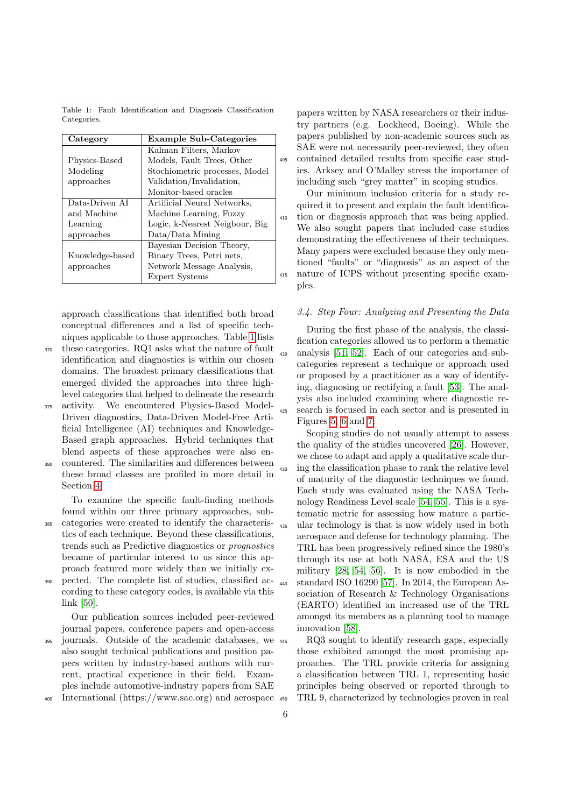<span id="page-5-0"></span>Table 1: Fault Identification and Diagnosis Classification Categories.

| Category        | <b>Example Sub-Categories</b>  |   |
|-----------------|--------------------------------|---|
|                 | Kalman Filters, Markov         |   |
| Physics-Based   | Models, Fault Trees, Other     |   |
| Modeling        | Stochiometric processes, Model |   |
| approaches      | Validation/Invalidation,       |   |
|                 | Monitor-based oracles          |   |
| Data-Driven AI  | Artificial Neural Networks,    |   |
| and Machine     | Machine Learning, Fuzzy        |   |
| Learning        | Logic, k-Nearest Neigbour, Big |   |
| approaches      | Data/Data Mining               |   |
|                 | Bayesian Decision Theory,      |   |
| Knowledge-based | Binary Trees, Petri nets,      |   |
| approaches      | Network Message Analysis,      |   |
|                 | Expert Systems                 | ۷ |

approach classifications that identified both broad conceptual differences and a list of specific techniques applicable to those approaches. Table [1](#page-5-0) lists

- <sup>370</sup> these categories. RQ1 asks what the nature of fault identification and diagnostics is within our chosen domains. The broadest primary classifications that emerged divided the approaches into three highlevel categories that helped to delineate the research
- <sup>375</sup> activity. We encountered Physics-Based Model-Driven diagnostics, Data-Driven Model-Free Artificial Intelligence (AI) techniques and Knowledge-Based graph approaches. Hybrid techniques that blend aspects of these approaches were also en-
- <sup>380</sup> countered. The similarities and differences between these broad classes are profiled in more detail in Section [4.](#page-6-0)

To examine the specific fault-finding methods found within our three primary approaches, sub-

- <sup>385</sup> categories were created to identify the characteristics of each technique. Beyond these classifications, trends such as Predictive diagnostics or prognostics became of particular interest to us since this approach featured more widely than we initially ex-
- <sup>390</sup> pected. The complete list of studies, classified according to these category codes, is available via this link [\[50\]](#page-17-26).

Our publication sources included peer-reviewed journal papers, conference papers and open-access

<sup>395</sup> journals. Outside of the academic databases, we also sought technical publications and position papers written by industry-based authors with current, practical experience in their field. Examples include automotive-industry papers from SAE

<sup>400</sup> International (https://www.sae.org) and aerospace

papers written by NASA researchers or their industry partners (e.g. Lockheed, Boeing). While the papers published by non-academic sources such as SAE were not necessarily peer-reviewed, they often <sup>405</sup> contained detailed results from specific case studies. Arksey and O'Malley stress the importance of including such "grey matter" in scoping studies.

Our minimum inclusion criteria for a study required it to present and explain the fault identification or diagnosis approach that was being applied. We also sought papers that included case studies demonstrating the effectiveness of their techniques. Many papers were excluded because they only mentioned "faults" or "diagnosis" as an aspect of the <sup>415</sup> nature of ICPS without presenting specific examples.

## 3.4. Step Four: Analyzing and Presenting the Data

During the first phase of the analysis, the classification categories allowed us to perform a thematic <sup>420</sup> analysis [\[51,](#page-17-27) [52\]](#page-17-28). Each of our categories and subcategories represent a technique or approach used or proposed by a practitioner as a way of identifying, diagnosing or rectifying a fault [\[53\]](#page-17-29). The analysis also included examining where diagnostic re-<sup>425</sup> search is focused in each sector and is presented in Figures [5,](#page-12-0) [6](#page-13-0) and [7.](#page-14-0)

Scoping studies do not usually attempt to assess the quality of the studies uncovered [\[26\]](#page-17-2). However, we chose to adapt and apply a qualitative scale dur-<sup>430</sup> ing the classification phase to rank the relative level of maturity of the diagnostic techniques we found. Each study was evaluated using the NASA Technology Readiness Level scale [\[54,](#page-18-0) [55\]](#page-18-1). This is a systematic metric for assessing how mature a partic-<sup>435</sup> ular technology is that is now widely used in both aerospace and defense for technology planning. The TRL has been progressively refined since the 1980's through its use at both NASA, ESA and the US military [\[28,](#page-17-4) [54,](#page-18-0) [56\]](#page-18-2). It is now embodied in the <sup>440</sup> standard ISO 16290 [\[57\]](#page-18-3). In 2014, the European Association of Research & Technology Organisations (EARTO) identified an increased use of the TRL amongst its members as a planning tool to manage innovation [\[58\]](#page-18-4).

RQ3 sought to identify research gaps, especially those exhibited amongst the most promising approaches. The TRL provide criteria for assigning a classification between TRL 1, representing basic principles being observed or reported through to <sup>450</sup> TRL 9, characterized by technologies proven in real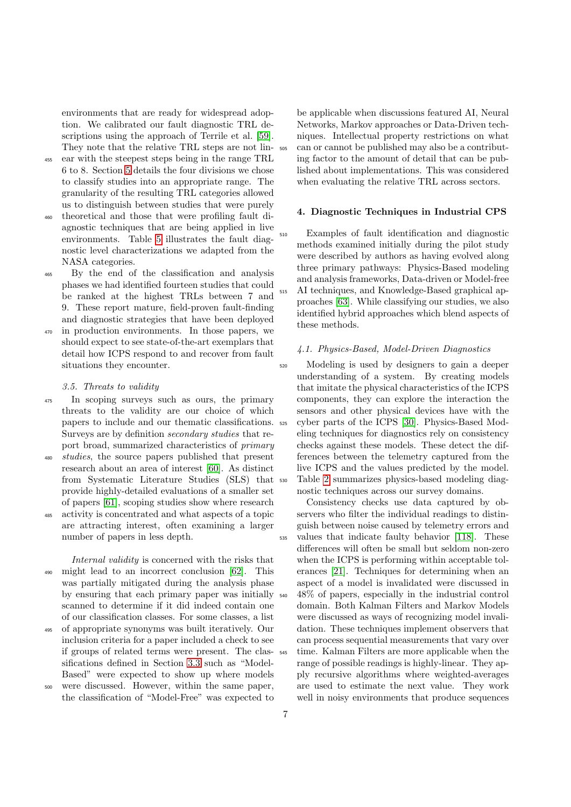environments that are ready for widespread adoption. We calibrated our fault diagnostic TRL descriptions using the approach of Terrile et al. [\[59\]](#page-18-5). They note that the relative TRL steps are not lin-

- <sup>455</sup> ear with the steepest steps being in the range TRL 6 to 8. Section [5](#page-11-0) details the four divisions we chose to classify studies into an appropriate range. The granularity of the resulting TRL categories allowed us to distinguish between studies that were purely
- <sup>460</sup> theoretical and those that were profiling fault diagnostic techniques that are being applied in live environments. Table [5](#page-11-1) illustrates the fault diagnostic level characterizations we adapted from the NASA categories.
- <sup>465</sup> By the end of the classification and analysis phases we had identified fourteen studies that could be ranked at the highest TRLs between 7 and 9. These report mature, field-proven fault-finding and diagnostic strategies that have been deployed
- <sup>470</sup> in production environments. In those papers, we should expect to see state-of-the-art exemplars that detail how ICPS respond to and recover from fault situations they encounter.

#### 3.5. Threats to validity

- <sup>475</sup> In scoping surveys such as ours, the primary threats to the validity are our choice of which papers to include and our thematic classifications. Surveys are by definition secondary studies that report broad, summarized characteristics of primary
- <sup>480</sup> studies, the source papers published that present research about an area of interest [\[60\]](#page-18-6). As distinct from Systematic Literature Studies (SLS) that provide highly-detailed evaluations of a smaller set of papers [\[61\]](#page-18-7), scoping studies show where research
- <sup>485</sup> activity is concentrated and what aspects of a topic are attracting interest, often examining a larger number of papers in less depth.

Internal validity is concerned with the risks that <sup>490</sup> might lead to an incorrect conclusion [\[62\]](#page-18-8). This was partially mitigated during the analysis phase by ensuring that each primary paper was initially scanned to determine if it did indeed contain one of our classification classes. For some classes, a list

<sup>495</sup> of appropriate synonyms was built iteratively. Our inclusion criteria for a paper included a check to see if groups of related terms were present. The classifications defined in Section [3.3](#page-4-1) such as "Model-Based" were expected to show up where models

<sup>500</sup> were discussed. However, within the same paper, the classification of "Model-Free" was expected to

be applicable when discussions featured AI, Neural Networks, Markov approaches or Data-Driven techniques. Intellectual property restrictions on what <sup>505</sup> can or cannot be published may also be a contributing factor to the amount of detail that can be published about implementations. This was considered when evaluating the relative TRL across sectors.

## <span id="page-6-0"></span>4. Diagnostic Techniques in Industrial CPS

Examples of fault identification and diagnostic methods examined initially during the pilot study were described by authors as having evolved along three primary pathways: Physics-Based modeling and analysis frameworks, Data-driven or Model-free <sup>515</sup> AI techniques, and Knowledge-Based graphical approaches [\[63\]](#page-18-9). While classifying our studies, we also identified hybrid approaches which blend aspects of these methods.

#### 4.1. Physics-Based, Model-Driven Diagnostics

<sup>520</sup> Modeling is used by designers to gain a deeper understanding of a system. By creating models that imitate the physical characteristics of the ICPS components, they can explore the interaction the sensors and other physical devices have with the cyber parts of the ICPS [\[30\]](#page-17-6). Physics-Based Modeling techniques for diagnostics rely on consistency checks against these models. These detect the differences between the telemetry captured from the live ICPS and the values predicted by the model. <sup>530</sup> Table [2](#page-7-0) summarizes physics-based modeling diagnostic techniques across our survey domains.

Consistency checks use data captured by observers who filter the individual readings to distinguish between noise caused by telemetry errors and <sup>535</sup> values that indicate faulty behavior [\[118\]](#page-20-0). These differences will often be small but seldom non-zero when the ICPS is performing within acceptable tolerances [\[21\]](#page-16-17). Techniques for determining when an aspect of a model is invalidated were discussed in <sup>540</sup> 48% of papers, especially in the industrial control domain. Both Kalman Filters and Markov Models were discussed as ways of recognizing model invalidation. These techniques implement observers that can process sequential measurements that vary over time. Kalman Filters are more applicable when the range of possible readings is highly-linear. They apply recursive algorithms where weighted-averages are used to estimate the next value. They work well in noisy environments that produce sequences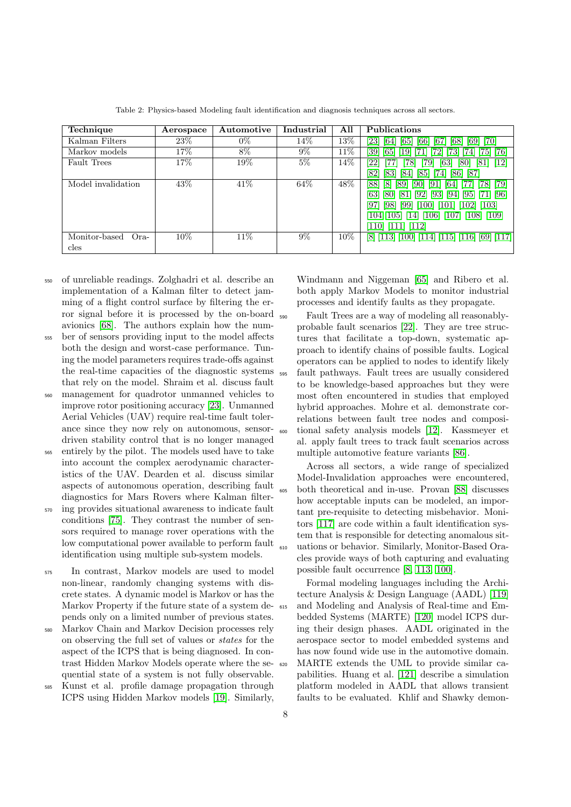<span id="page-7-0"></span>

| Technique               | Aerospace | Automotive | Industrial | All    | <b>Publications</b>                                            |
|-------------------------|-----------|------------|------------|--------|----------------------------------------------------------------|
| Kalman Filters          | 23%       | $0\%$      | 14%        | 13%    | [70]<br>[66]<br>23<br>[67]<br>[69]<br>68<br>[64]<br> 65        |
| Markov models           | 17%       | 8%         | $9\%$      | 11%    | [76]<br>39 <br> 65 <br>731<br>'741<br>19<br><u>1751</u>        |
| <b>Fault Trees</b>      | 17%       | 19%        | $5\%$      | 14\%   | $[12]$<br>$^{22}$<br>78<br>79<br>[63<br>80<br>[81]             |
|                         |           |            |            |        | 82<br>[85]<br>187<br>[83]<br>[74]<br>186<br> 84                |
| Model invalidation      | 43\%      | 41\%       | 64\%       | 48%    | [79]<br>88<br>781<br><b>89</b><br>[64]<br> 8 <br>$ 90 $ $ 91 $ |
|                         |           |            |            |        | [63]<br>$[80]$ [81] [92] [93] [94]<br>$[95]$ [71] [96]         |
|                         |           |            |            |        | [97] [98] [99] [100] [101] [102] [103]                         |
|                         |           |            |            |        | $[104][105]$ $[14]$ $[106]$ $[107]$ $[108]$ $[109]$            |
|                         |           |            |            |        | $[110]$ $[111]$ $[112]$                                        |
| Monitor-based<br>$Ora-$ | 10%       | 11\%       | $9\%$      | $10\%$ | $[8]$ [113] [100] [114] [115] [116] [69] [117]                 |
| cles                    |           |            |            |        |                                                                |

Table 2: Physics-based Modeling fault identification and diagnosis techniques across all sectors.

- <sup>550</sup> of unreliable readings. Zolghadri et al. describe an implementation of a Kalman filter to detect jamming of a flight control surface by filtering the error signal before it is processed by the on-board avionics [\[68\]](#page-18-14). The authors explain how the num-
- <sup>555</sup> ber of sensors providing input to the model affects both the design and worst-case performance. Tuning the model parameters requires trade-offs against the real-time capacities of the diagnostic systems that rely on the model. Shraim et al. discuss fault
- management for quadrotor unmanned vehicles to improve rotor positioning accuracy [\[23\]](#page-16-19). Unmanned Aerial Vehicles (UAV) require real-time fault tolerance since they now rely on autonomous, sensordriven stability control that is no longer managed
- <sup>565</sup> entirely by the pilot. The models used have to take into account the complex aerodynamic characteristics of the UAV. Dearden et al. discuss similar aspects of autonomous operation, describing fault diagnostics for Mars Rovers where Kalman filter-
- <sup>570</sup> ing provides situational awareness to indicate fault conditions [\[75\]](#page-18-21). They contrast the number of sensors required to manage rover operations with the low computational power available to perform fault identification using multiple sub-system models.
- <sup>575</sup> In contrast, Markov models are used to model non-linear, randomly changing systems with discrete states. A dynamic model is Markov or has the Markov Property if the future state of a system depends only on a limited number of previous states.
- <sup>580</sup> Markov Chain and Markov Decision processes rely on observing the full set of values or states for the aspect of the ICPS that is being diagnosed. In contrast Hidden Markov Models operate where the sequential state of a system is not fully observable.
- <sup>585</sup> Kunst et al. profile damage propagation through ICPS using Hidden Markov models [\[19\]](#page-16-15). Similarly,

Windmann and Niggeman [\[65\]](#page-18-11) and Ribero et al. both apply Markov Models to monitor industrial processes and identify faults as they propagate.

<sup>590</sup> Fault Trees are a way of modeling all reasonablyprobable fault scenarios [\[22\]](#page-16-18). They are tree structures that facilitate a top-down, systematic approach to identify chains of possible faults. Logical operators can be applied to nodes to identify likely <sup>595</sup> fault pathways. Fault trees are usually considered to be knowledge-based approaches but they were most often encountered in studies that employed hybrid approaches. Mohre et al. demonstrate correlations between fault tree nodes and composi-<sup>600</sup> tional safety analysis models [\[12\]](#page-16-8). Kassmeyer et al. apply fault trees to track fault scenarios across multiple automotive feature variants [\[86\]](#page-19-4).

Across all sectors, a wide range of specialized Model-Invalidation approaches were encountered, <sup>605</sup> both theoretical and in-use. Provan [\[88\]](#page-19-6) discusses how acceptable inputs can be modeled, an important pre-requisite to detecting misbehavior. Monitors [\[117\]](#page-20-10) are code within a fault identification system that is responsible for detecting anomalous sit-<sup>610</sup> uations or behavior. Similarly, Monitor-Based Oracles provide ways of both capturing and evaluating possible fault occurrence [\[8,](#page-16-4) [113,](#page-20-6) [100\]](#page-19-18).

Formal modeling languages including the Architecture Analysis & Design Language (AADL) [\[119\]](#page-20-11) and Modeling and Analysis of Real-time and Embedded Systems (MARTE) [\[120\]](#page-20-12) model ICPS during their design phases. AADL originated in the aerospace sector to model embedded systems and has now found wide use in the automotive domain. <sup>620</sup> MARTE extends the UML to provide similar capabilities. Huang et al. [\[121\]](#page-20-13) describe a simulation platform modeled in AADL that allows transient faults to be evaluated. Khlif and Shawky demon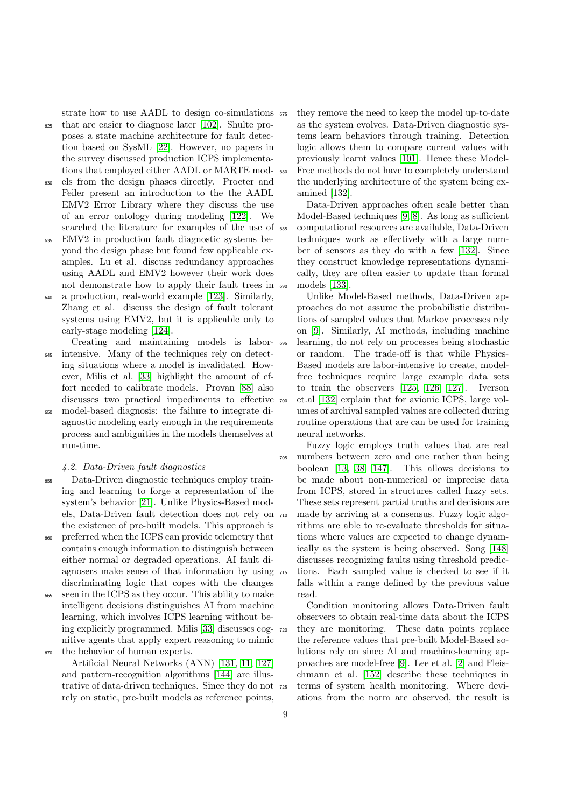strate how to use AADL to design co-simulations  $\frac{675}{675}$ 

- <sup>625</sup> that are easier to diagnose later [\[102\]](#page-19-20). Shulte proposes a state machine architecture for fault detection based on SysML [\[22\]](#page-16-18). However, no papers in the survey discussed production ICPS implementations that employed either AADL or MARTE mod-
- els from the design phases directly. Procter and Feiler present an introduction to the the AADL EMV2 Error Library where they discuss the use of an error ontology during modeling [\[122\]](#page-20-14). We searched the literature for examples of the use of
- <sup>635</sup> EMV2 in production fault diagnostic systems beyond the design phase but found few applicable examples. Lu et al. discuss redundancy approaches using AADL and EMV2 however their work does not demonstrate how to apply their fault trees in
- <sup>640</sup> a production, real-world example [\[123\]](#page-20-15). Similarly, Zhang et al. discuss the design of fault tolerant systems using EMV2, but it is applicable only to early-stage modeling [\[124\]](#page-20-16).
- Creating and maintaining models is laborintensive. Many of the techniques rely on detecting situations where a model is invalidated. However, Milis et al. [\[33\]](#page-17-9) highlight the amount of effort needed to calibrate models. Provan [\[88\]](#page-19-6) also discusses two practical impediments to effective
- <sup>650</sup> model-based diagnosis: the failure to integrate diagnostic modeling early enough in the requirements process and ambiguities in the models themselves at run-time.

## 4.2. Data-Driven fault diagnostics

- <sup>655</sup> Data-Driven diagnostic techniques employ training and learning to forge a representation of the system's behavior [\[21\]](#page-16-17). Unlike Physics-Based models, Data-Driven fault detection does not rely on the existence of pre-built models. This approach is <sup>660</sup> preferred when the ICPS can provide telemetry that contains enough information to distinguish between either normal or degraded operations. AI fault diagnosers make sense of that information by using discriminating logic that copes with the changes <sup>665</sup> seen in the ICPS as they occur. This ability to make
- intelligent decisions distinguishes AI from machine learning, which involves ICPS learning without being explicitly programmed. Milis [\[33\]](#page-17-9) discusses cognitive agents that apply expert reasoning to mimic <sup>670</sup> the behavior of human experts.

Artificial Neural Networks (ANN) [\[131,](#page-20-17) [11,](#page-16-7) [127\]](#page-20-18) and pattern-recognition algorithms [\[144\]](#page-21-0) are illustrative of data-driven techniques. Since they do not rely on static, pre-built models as reference points,

they remove the need to keep the model up-to-date as the system evolves. Data-Driven diagnostic systems learn behaviors through training. Detection logic allows them to compare current values with previously learnt values [\[101\]](#page-19-19). Hence these Model-<sup>680</sup> Free methods do not have to completely understand the underlying architecture of the system being examined [\[132\]](#page-20-19).

Data-Driven approaches often scale better than Model-Based techniques [\[9,](#page-16-5) [8\]](#page-16-4). As long as sufficient <sup>685</sup> computational resources are available, Data-Driven techniques work as effectively with a large number of sensors as they do with a few [\[132\]](#page-20-19). Since they construct knowledge representations dynamically, they are often easier to update than formal <sup>690</sup> models [\[133\]](#page-21-1).

Unlike Model-Based methods, Data-Driven approaches do not assume the probabilistic distributions of sampled values that Markov processes rely on [\[9\]](#page-16-5). Similarly, AI methods, including machine <sup>695</sup> learning, do not rely on processes being stochastic or random. The trade-off is that while Physics-Based models are labor-intensive to create, modelfree techniques require large example data sets to train the observers [\[125,](#page-20-20) [126,](#page-20-21) [127\]](#page-20-18). Iverson <sup>700</sup> et.al [\[132\]](#page-20-19) explain that for avionic ICPS, large volumes of archival sampled values are collected during routine operations that are can be used for training neural networks.

Fuzzy logic employs truth values that are real <sup>705</sup> numbers between zero and one rather than being boolean [\[13,](#page-16-9) [38,](#page-17-14) [147\]](#page-21-2). This allows decisions to be made about non-numerical or imprecise data from ICPS, stored in structures called fuzzy sets. These sets represent partial truths and decisions are <sup>710</sup> made by arriving at a consensus. Fuzzy logic algorithms are able to re-evaluate thresholds for situations where values are expected to change dynamically as the system is being observed. Song [\[148\]](#page-21-3) discusses recognizing faults using threshold predic-<sup>715</sup> tions. Each sampled value is checked to see if it falls within a range defined by the previous value read.

Condition monitoring allows Data-Driven fault observers to obtain real-time data about the ICPS <sup>720</sup> they are monitoring. These data points replace the reference values that pre-built Model-Based solutions rely on since AI and machine-learning approaches are model-free [\[9\]](#page-16-5). Lee et al. [\[2\]](#page-15-1) and Fleischmann et al. [\[152\]](#page-21-4) describe these techniques in <sup>725</sup> terms of system health monitoring. Where deviations from the norm are observed, the result is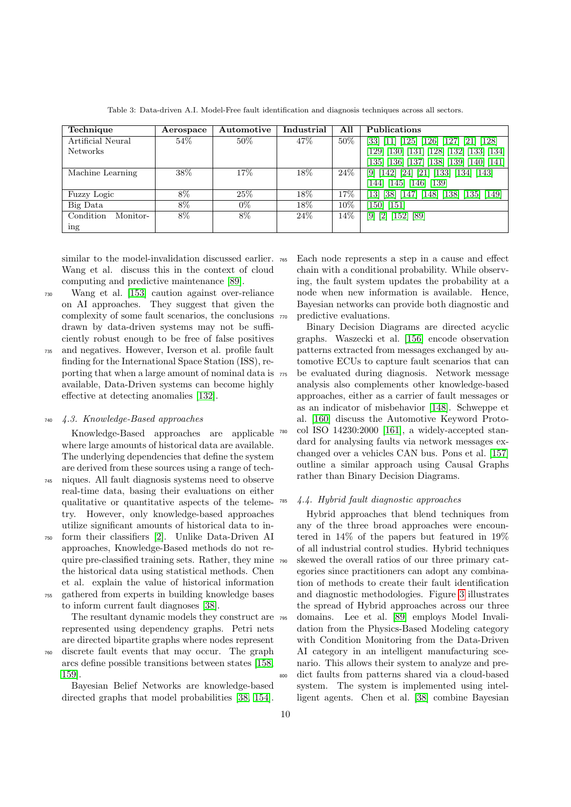| Technique             | Aerospace | Automotive | Industrial | All | Publications                                                                                                                    |
|-----------------------|-----------|------------|------------|-----|---------------------------------------------------------------------------------------------------------------------------------|
| Artificial Neural     | 54\%      | 50%        | 47\%       | 50% | $[125]$ $[126]$ $[127]$ $[21]$ $[128]$<br>$\left[33\right]$ $\left[11\right]$                                                   |
| <b>Networks</b>       |           |            |            |     | $\left[ 129\right] \left[ 130\right] \left[ 131\right] \left[ 128\right] \left[ 132\right] \left[ 133\right] \left[ 134\right]$ |
|                       |           |            |            |     | [135] [136] [137] [138] [139] [140] [141]                                                                                       |
| Machine Learning      | 38\%      | 17%        | 18%        | 24% | $\lceil 21 \rceil \lceil 133 \rceil \lceil 134 \rceil \lceil 143 \rceil$<br>[9] [142]<br> 24                                    |
|                       |           |            |            |     | [145] [146] [139]<br>144                                                                                                        |
| Fuzzy Logic           | 8%        | 25%        | 18%        | .7% | 13]<br>[148] [138] [135] [149]<br> 38 <br>1471                                                                                  |
| Big Data              | 8%        | $0\%$      | 18%        | 10% | $[150]$ $[151]$                                                                                                                 |
| Condition<br>Monitor- | 8%        | 8%         | 24%        | 14% | $[9]$ $[2]$ $[152]$ $[89]$                                                                                                      |
| ing                   |           |            |            |     |                                                                                                                                 |

Table 3: Data-driven A.I. Model-Free fault identification and diagnosis techniques across all sectors.

similar to the model-invalidation discussed earlier.  $_{765}$ Wang et al. discuss this in the context of cloud computing and predictive maintenance [\[89\]](#page-19-7).

- <sup>730</sup> Wang et al. [\[153\]](#page-21-20) caution against over-reliance on AI approaches. They suggest that given the complexity of some fault scenarios, the conclusions drawn by data-driven systems may not be sufficiently robust enough to be free of false positives
- <sup>735</sup> and negatives. However, Iverson et al. profile fault finding for the International Space Station (ISS), reporting that when a large amount of nominal data is available, Data-Driven systems can become highly effective at detecting anomalies [\[132\]](#page-20-19).

## <sup>740</sup> 4.3. Knowledge-Based approaches

Knowledge-Based approaches are applicable where large amounts of historical data are available. The underlying dependencies that define the system are derived from these sources using a range of tech-

- <sup>745</sup> niques. All fault diagnosis systems need to observe real-time data, basing their evaluations on either qualitative or quantitative aspects of the telemetry. However, only knowledge-based approaches utilize significant amounts of historical data to in-
- <sup>750</sup> form their classifiers [\[2\]](#page-15-1). Unlike Data-Driven AI approaches, Knowledge-Based methods do not require pre-classified training sets. Rather, they mine the historical data using statistical methods. Chen et al. explain the value of historical information <sup>755</sup> gathered from experts in building knowledge bases

to inform current fault diagnoses [\[38\]](#page-17-14).

The resultant dynamic models they construct are  $\frac{795}{2}$ represented using dependency graphs. Petri nets are directed bipartite graphs where nodes represent

<sup>760</sup> discrete fault events that may occur. The graph arcs define possible transitions between states [\[158,](#page-21-21) [159\]](#page-21-22).

Bayesian Belief Networks are knowledge-based directed graphs that model probabilities [\[38,](#page-17-14) [154\]](#page-21-23). Each node represents a step in a cause and effect chain with a conditional probability. While observing, the fault system updates the probability at a node when new information is available. Hence, Bayesian networks can provide both diagnostic and predictive evaluations.

Binary Decision Diagrams are directed acyclic graphs. Waszecki et al. [\[156\]](#page-21-24) encode observation patterns extracted from messages exchanged by automotive ECUs to capture fault scenarios that can <sup>775</sup> be evaluated during diagnosis. Network message analysis also complements other knowledge-based approaches, either as a carrier of fault messages or as an indicator of misbehavior [\[148\]](#page-21-3). Schweppe et al. [\[160\]](#page-21-25) discuss the Automotive Keyword Proto- $\text{col}$  ISO 14230:2000 [\[161\]](#page-22-0), a widely-accepted standard for analysing faults via network messages exchanged over a vehicles CAN bus. Pons et al. [\[157\]](#page-21-26) outline a similar approach using Causal Graphs rather than Binary Decision Diagrams.

## <sup>785</sup> 4.4. Hybrid fault diagnostic approaches

Hybrid approaches that blend techniques from any of the three broad approaches were encountered in 14% of the papers but featured in 19% of all industrial control studies. Hybrid techniques <sup>790</sup> skewed the overall ratios of our three primary categories since practitioners can adopt any combination of methods to create their fault identification and diagnostic methodologies. Figure [3](#page-10-0) illustrates the spread of Hybrid approaches across our three domains. Lee et al. [\[89\]](#page-19-7) employs Model Invalidation from the Physics-Based Modeling category with Condition Monitoring from the Data-Driven AI category in an intelligent manufacturing scenario. This allows their system to analyze and pre-<sup>800</sup> dict faults from patterns shared via a cloud-based system. The system is implemented using intelligent agents. Chen et al. [\[38\]](#page-17-14) combine Bayesian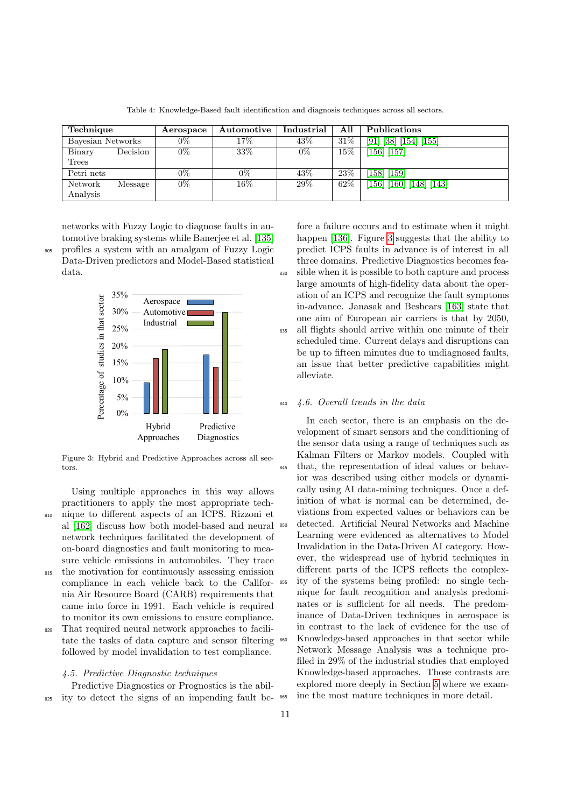| Technique         |          | Aerospace | Automotive | Industrial | All    | <b>Publications</b>                                                       |
|-------------------|----------|-----------|------------|------------|--------|---------------------------------------------------------------------------|
| Bayesian Networks |          | $0\%$     | $17\%$     | 43%        | $31\%$ | [91]<br>$\left[155\right]$<br>$\lceil 38 \rceil \lceil 154 \rceil \rceil$ |
| Binary            | Decision | $0\%$     | 33\%       | $0\%$      | $15\%$ | $[156]$ $[157]$                                                           |
| Trees             |          |           |            |            |        |                                                                           |
| Petri nets        |          | 0%        | $0\%$      | 43\%       | 23\%   | [158] [159]                                                               |
| Network           | Message  | $0\%$     | $16\%$     | 29\%       | 62\%   | $[156]$ $[160]$ $[148]$ $[143]$                                           |
| Analysis          |          |           |            |            |        |                                                                           |

Table 4: Knowledge-Based fault identification and diagnosis techniques across all sectors.

networks with Fuzzy Logic to diagnose faults in automotive braking systems while Banerjee et al. [\[135\]](#page-21-6) <sup>805</sup> profiles a system with an amalgam of Fuzzy Logic Data-Driven predictors and Model-Based statistical data.

<span id="page-10-0"></span>

Figure 3: Hybrid and Predictive Approaches across all sectors.

Using multiple approaches in this way allows practitioners to apply the most appropriate tech-<sup>810</sup> nique to different aspects of an ICPS. Rizzoni et al [\[162\]](#page-22-1) discuss how both model-based and neural network techniques facilitated the development of on-board diagnostics and fault monitoring to measure vehicle emissions in automobiles. They trace

815 the motivation for continuously assessing emission compliance in each vehicle back to the California Air Resource Board (CARB) requirements that came into force in 1991. Each vehicle is required to monitor its own emissions to ensure compliance.

<sup>820</sup> That required neural network approaches to facilitate the tasks of data capture and sensor filtering followed by model invalidation to test compliance.

## 4.5. Predictive Diagnostic techniques

Predictive Diagnostics or Prognostics is the abil-<sup>825</sup> ity to detect the signs of an impending fault be-

fore a failure occurs and to estimate when it might happen [\[136\]](#page-21-7). Figure [3](#page-10-0) suggests that the ability to predict ICPS faults in advance is of interest in all three domains. Predictive Diagnostics becomes fea-<sup>830</sup> sible when it is possible to both capture and process large amounts of high-fidelity data about the operation of an ICPS and recognize the fault symptoms in-advance. Janasak and Beshears [\[163\]](#page-22-2) state that one aim of European air carriers is that by 2050, 835 all flights should arrive within one minute of their scheduled time. Current delays and disruptions can be up to fifteen minutes due to undiagnosed faults, an issue that better predictive capabilities might alleviate.

## $4.6.$  Overall trends in the data

In each sector, there is an emphasis on the development of smart sensors and the conditioning of the sensor data using a range of techniques such as Kalman Filters or Markov models. Coupled with <sup>845</sup> that, the representation of ideal values or behavior was described using either models or dynamically using AI data-mining techniques. Once a definition of what is normal can be determined, deviations from expected values or behaviors can be <sup>850</sup> detected. Artificial Neural Networks and Machine Learning were evidenced as alternatives to Model Invalidation in the Data-Driven AI category. However, the widespread use of hybrid techniques in different parts of the ICPS reflects the complex-<sup>855</sup> ity of the systems being profiled: no single technique for fault recognition and analysis predominates or is sufficient for all needs. The predominance of Data-Driven techniques in aerospace is in contrast to the lack of evidence for the use of <sup>860</sup> Knowledge-based approaches in that sector while Network Message Analysis was a technique profiled in 29% of the industrial studies that employed Knowledge-based approaches. Those contrasts are explored more deeply in Section [5](#page-11-0) where we exam-<sup>865</sup> ine the most mature techniques in more detail.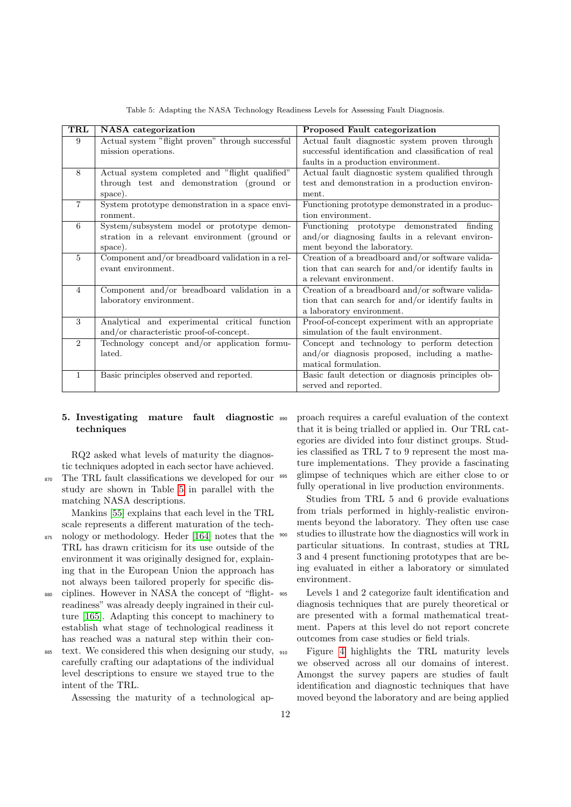<span id="page-11-1"></span>

| TRL            | NASA categorization                              | Proposed Fault categorization                        |  |
|----------------|--------------------------------------------------|------------------------------------------------------|--|
| 9              | Actual system "flight proven" through successful | Actual fault diagnostic system proven through        |  |
|                | mission operations.                              | successful identification and classification of real |  |
|                |                                                  | faults in a production environment.                  |  |
| 8              | Actual system completed and "flight qualified"   | Actual fault diagnostic system qualified through     |  |
|                | through test and demonstration (ground or        | test and demonstration in a production environ-      |  |
|                | space).                                          | ment.                                                |  |
| $\overline{7}$ | System prototype demonstration in a space envi-  | Functioning prototype demonstrated in a produc-      |  |
|                | ronment.                                         | tion environment.                                    |  |
| 6              | System/subsystem model or prototype demon-       | Functioning prototype demonstrated<br>finding        |  |
|                | stration in a relevant environment (ground or    | and/or diagnosing faults in a relevant environ-      |  |
|                | space).                                          | ment beyond the laboratory.                          |  |
| $\overline{5}$ | Component and/or breadboard validation in a rel- | Creation of a breadboard and/or software valida-     |  |
|                | evant environment.                               | tion that can search for and/or identify faults in   |  |
|                |                                                  | a relevant environment.                              |  |
| $\overline{4}$ | Component and/or breadboard validation in a      | Creation of a breadboard and/or software valida-     |  |
|                | laboratory environment.                          | tion that can search for and/or identify faults in   |  |
|                |                                                  | a laboratory environment.                            |  |
| 3              | Analytical and experimental critical function    | Proof-of-concept experiment with an appropriate      |  |
|                | and/or characteristic proof-of-concept.          | simulation of the fault environment.                 |  |
| $\overline{2}$ | Technology concept and/or application formu-     | Concept and technology to perform detection          |  |
|                | lated.                                           | and/or diagnosis proposed, including a mathe-        |  |
|                |                                                  | matical formulation.                                 |  |
| 1              | Basic principles observed and reported.          | Basic fault detection or diagnosis principles ob-    |  |
|                |                                                  | served and reported.                                 |  |

Table 5: Adapting the NASA Technology Readiness Levels for Assessing Fault Diagnosis.

# <span id="page-11-0"></span>5. Investigating mature fault diagnostic techniques

RQ2 asked what levels of maturity the diagnostic techniques adopted in each sector have achieved. The TRL fault classifications we developed for our

study are shown in Table [5](#page-11-1) in parallel with the matching NASA descriptions.

Mankins [\[55\]](#page-18-1) explains that each level in the TRL scale represents a different maturation of the tech-

- <sup>875</sup> nology or methodology. Heder [\[164\]](#page-22-3) notes that the TRL has drawn criticism for its use outside of the environment it was originally designed for, explaining that in the European Union the approach has not always been tailored properly for specific dis-
- <sup>880</sup> ciplines. However in NASA the concept of "flightreadiness" was already deeply ingrained in their culture [\[165\]](#page-22-4). Adapting this concept to machinery to establish what stage of technological readiness it has reached was a natural step within their con-
- $\frac{885}{100}$  text. We considered this when designing our study,  $\frac{910}{100}$ carefully crafting our adaptations of the individual level descriptions to ensure we stayed true to the intent of the TRL.

Assessing the maturity of a technological ap-

<sup>890</sup> proach requires a careful evaluation of the context that it is being trialled or applied in. Our TRL categories are divided into four distinct groups. Studies classified as TRL 7 to 9 represent the most mature implementations. They provide a fascinating <sup>895</sup> glimpse of techniques which are either close to or fully operational in live production environments.

Studies from TRL 5 and 6 provide evaluations from trials performed in highly-realistic environments beyond the laboratory. They often use case studies to illustrate how the diagnostics will work in particular situations. In contrast, studies at TRL 3 and 4 present functioning prototypes that are being evaluated in either a laboratory or simulated environment.

<sup>905</sup> Levels 1 and 2 categorize fault identification and diagnosis techniques that are purely theoretical or are presented with a formal mathematical treatment. Papers at this level do not report concrete outcomes from case studies or field trials.

Figure [4](#page-12-1) highlights the TRL maturity levels we observed across all our domains of interest. Amongst the survey papers are studies of fault identification and diagnostic techniques that have moved beyond the laboratory and are being applied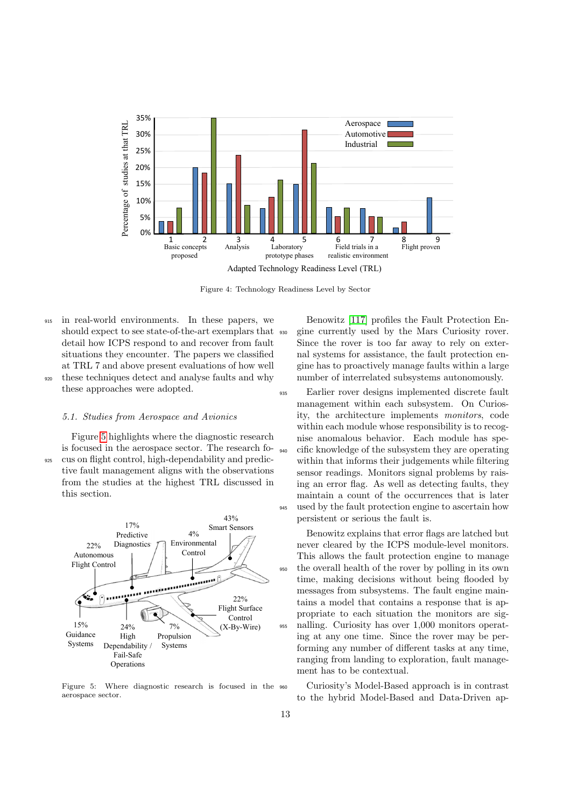<span id="page-12-1"></span>

Figure 4: Technology Readiness Level by Sector

- <sup>915</sup> in real-world environments. In these papers, we should expect to see state-of-the-art exemplars that detail how ICPS respond to and recover from fault situations they encounter. The papers we classified at TRL 7 and above present evaluations of how well
- <sup>920</sup> these techniques detect and analyse faults and why these approaches were adopted.

#### 5.1. Studies from Aerospace and Avionics

Figure [5](#page-12-0) highlights where the diagnostic research is focused in the aerospace sector. The research fo-<sup>925</sup> cus on flight control, high-dependability and predictive fault management aligns with the observations from the studies at the highest TRL discussed in this section.

<span id="page-12-0"></span>

Figure 5: Where diagnostic research is focused in the aerospace sector.

Benowitz [\[117\]](#page-20-10) profiles the Fault Protection En-<sup>930</sup> gine currently used by the Mars Curiosity rover. Since the rover is too far away to rely on external systems for assistance, the fault protection engine has to proactively manage faults within a large number of interrelated subsystems autonomously.

<sup>935</sup> Earlier rover designs implemented discrete fault management within each subsystem. On Curiosity, the architecture implements monitors, code within each module whose responsibility is to recognise anomalous behavior. Each module has spe-<sup>940</sup> cific knowledge of the subsystem they are operating within that informs their judgements while filtering sensor readings. Monitors signal problems by raising an error flag. As well as detecting faults, they maintain a count of the occurrences that is later <sup>945</sup> used by the fault protection engine to ascertain how persistent or serious the fault is.

Benowitz explains that error flags are latched but never cleared by the ICPS module-level monitors. This allows the fault protection engine to manage <sup>950</sup> the overall health of the rover by polling in its own time, making decisions without being flooded by messages from subsystems. The fault engine maintains a model that contains a response that is appropriate to each situation the monitors are sig-<sup>955</sup> nalling. Curiosity has over 1,000 monitors operating at any one time. Since the rover may be performing any number of different tasks at any time, ranging from landing to exploration, fault management has to be contextual.

<sup>960</sup> Curiosity's Model-Based approach is in contrast to the hybrid Model-Based and Data-Driven ap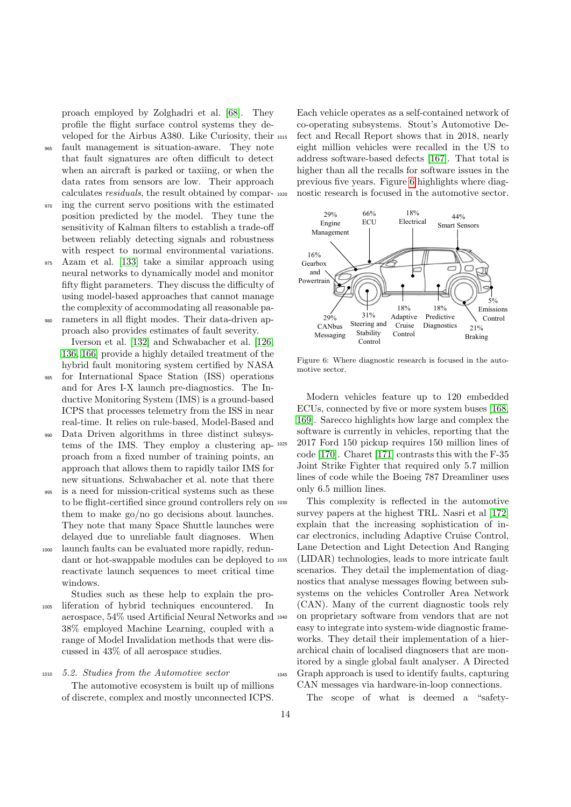proach employed by Zolghadri et al. [\[68\]](#page-18-14). They profile the flight surface control systems they developed for the Airbus A380. Like Curiosity, their

- <sup>965</sup> fault management is situation-aware. They note that fault signatures are often difficult to detect when an aircraft is parked or taxiing, or when the data rates from sensors are low. Their approach calculates residuals, the result obtained by compar-
- <sup>970</sup> ing the current servo positions with the estimated position predicted by the model. They tune the sensitivity of Kalman filters to establish a trade-off between reliably detecting signals and robustness with respect to normal environmental variations.
- <sup>975</sup> Azam et al. [\[133\]](#page-21-1) take a similar approach using neural networks to dynamically model and monitor fifty flight parameters. They discuss the difficulty of using model-based approaches that cannot manage the complexity of accommodating all reasonable pa-

<sup>980</sup> rameters in all flight modes. Their data-driven approach also provides estimates of fault severity. Iverson et al. [\[132\]](#page-20-19) and Schwabacher et al. [\[126,](#page-20-21) [136,](#page-21-7) [166\]](#page-22-5) provide a highly detailed treatment of the

- hybrid fault monitoring system certified by NASA <sup>985</sup> for International Space Station (ISS) operations and for Ares I-X launch pre-diagnostics. The Inductive Monitoring System (IMS) is a ground-based ICPS that processes telemetry from the ISS in near real-time. It relies on rule-based, Model-Based and
- <sup>990</sup> Data Driven algorithms in three distinct subsystems of the IMS. They employ a clustering approach from a fixed number of training points, an approach that allows them to rapidly tailor IMS for new situations. Schwabacher et al. note that there
- <sup>995</sup> is a need for mission-critical systems such as these to be flight-certified since ground controllers rely on them to make go/no go decisions about launches. They note that many Space Shuttle launches were delayed due to unreliable fault diagnoses. When
- <sup>1000</sup> launch faults can be evaluated more rapidly, redundant or hot-swappable modules can be deployed to reactivate launch sequences to meet critical time windows.
- Studies such as these help to explain the pro-<sup>1005</sup> liferation of hybrid techniques encountered. In aerospace, 54% used Artificial Neural Networks and 38% employed Machine Learning, coupled with a range of Model Invalidation methods that were discussed in 43% of all aerospace studies.
- <sup>1010</sup> 5.2. Studies from the Automotive sector The automotive ecosystem is built up of millions of discrete, complex and mostly unconnected ICPS.

Each vehicle operates as a self-contained network of co-operating subsystems. Stout's Automotive Defect and Recall Report shows that in 2018, nearly eight million vehicles were recalled in the US to address software-based defects [\[167\]](#page-22-6). That total is higher than all the recalls for software issues in the previous five years. Figure [6](#page-13-0) highlights where diagnostic research is focused in the automotive sector.

<span id="page-13-0"></span>

Figure 6: Where diagnostic research is focused in the automotive sector.

Modern vehicles feature up to 120 embedded ECUs, connected by five or more system buses [\[168,](#page-22-7) [169\]](#page-22-8). Sarecco highlights how large and complex the software is currently in vehicles, reporting that the <sup>1025</sup> 2017 Ford 150 pickup requires 150 million lines of code [\[170\]](#page-22-9). Charet [\[171\]](#page-22-10) contrasts this with the F-35 Joint Strike Fighter that required only 5.7 million lines of code while the Boeing 787 Dreamliner uses only 6.5 million lines.

This complexity is reflected in the automotive survey papers at the highest TRL. Nasri et al [\[172\]](#page-22-11) explain that the increasing sophistication of incar electronics, including Adaptive Cruise Control, Lane Detection and Light Detection And Ranging (LIDAR) technologies, leads to more intricate fault scenarios. They detail the implementation of diagnostics that analyse messages flowing between subsystems on the vehicles Controller Area Network (CAN). Many of the current diagnostic tools rely <sup>1040</sup> on proprietary software from vendors that are not easy to integrate into system-wide diagnostic frameworks. They detail their implementation of a hierarchical chain of localised diagnosers that are monitored by a single global fault analyser. A Directed <sup>1045</sup> Graph approach is used to identify faults, capturing CAN messages via hardware-in-loop connections.

The scope of what is deemed a "safety-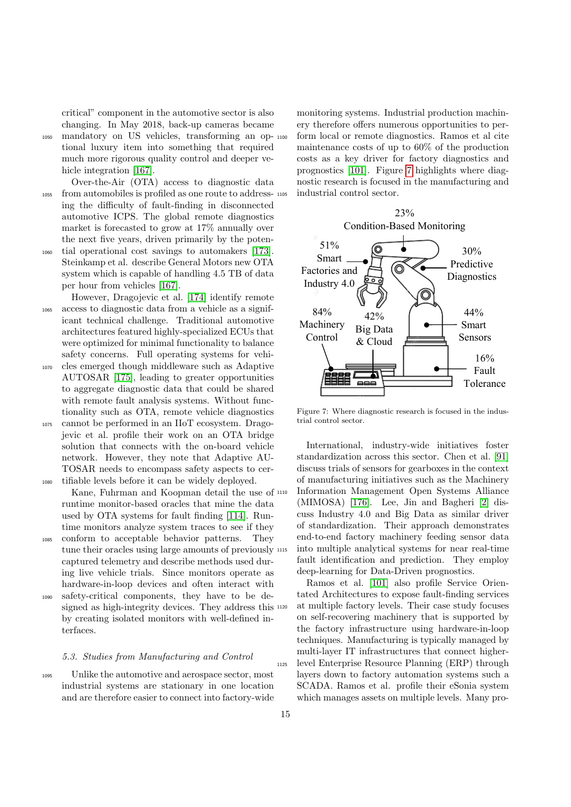critical" component in the automotive sector is also changing. In May 2018, back-up cameras became

<sup>1050</sup> mandatory on US vehicles, transforming an optional luxury item into something that required much more rigorous quality control and deeper ve-hicle integration [\[167\]](#page-22-6).

Over-the-Air (OTA) access to diagnostic data <sup>1055</sup> from automobiles is profiled as one route to addressing the difficulty of fault-finding in disconnected automotive ICPS. The global remote diagnostics market is forecasted to grow at 17% annually over the next five years, driven primarily by the poten-

<sup>1060</sup> tial operational cost savings to automakers [\[173\]](#page-22-12). Steinkamp et al. describe General Motors new OTA system which is capable of handling 4.5 TB of data per hour from vehicles [\[167\]](#page-22-6).

However, Dragojevic et al. [\[174\]](#page-22-13) identify remote <sup>1065</sup> access to diagnostic data from a vehicle as a significant technical challenge. Traditional automotive architectures featured highly-specialized ECUs that were optimized for minimal functionality to balance safety concerns. Full operating systems for vehi-

<sup>1070</sup> cles emerged though middleware such as Adaptive AUTOSAR [\[175\]](#page-22-14), leading to greater opportunities to aggregate diagnostic data that could be shared with remote fault analysis systems. Without functionality such as OTA, remote vehicle diagnostics <sup>1075</sup> cannot be performed in an IIoT ecosystem. Dragojevic et al. profile their work on an OTA bridge solution that connects with the on-board vehicle

network. However, they note that Adaptive AU-TOSAR needs to encompass safety aspects to cer-<sup>1080</sup> tifiable levels before it can be widely deployed.

Kane, Fuhrman and Koopman detail the use of runtime monitor-based oracles that mine the data used by OTA systems for fault finding [\[114\]](#page-20-7). Runtime monitors analyze system traces to see if they

- <sup>1085</sup> conform to acceptable behavior patterns. They tune their oracles using large amounts of previously  $1115$ captured telemetry and describe methods used during live vehicle trials. Since monitors operate as hardware-in-loop devices and often interact with
- <sup>1090</sup> safety-critical components, they have to be designed as high-integrity devices. They address this  $1120$ by creating isolated monitors with well-defined interfaces.

## 5.3. Studies from Manufacturing and Control

<sup>1095</sup> Unlike the automotive and aerospace sector, most industrial systems are stationary in one location and are therefore easier to connect into factory-wide

monitoring systems. Industrial production machinery therefore offers numerous opportunities to perform local or remote diagnostics. Ramos et al cite maintenance costs of up to 60% of the production costs as a key driver for factory diagnostics and prognostics [\[101\]](#page-19-19). Figure [7](#page-14-0) highlights where diagnostic research is focused in the manufacturing and industrial control sector.

<span id="page-14-0"></span>

Figure 7: Where diagnostic research is focused in the industrial control sector.

International, industry-wide initiatives foster standardization across this sector. Chen et al. [\[91\]](#page-19-9) discuss trials of sensors for gearboxes in the context of manufacturing initiatives such as the Machinery <sup>1110</sup> Information Management Open Systems Alliance (MIMOSA) [\[176\]](#page-22-15). Lee, Jin and Bagheri [\[2\]](#page-15-1) discuss Industry 4.0 and Big Data as similar driver of standardization. Their approach demonstrates end-to-end factory machinery feeding sensor data into multiple analytical systems for near real-time fault identification and prediction. They employ deep-learning for Data-Driven prognostics.

Ramos et al. [\[101\]](#page-19-19) also profile Service Orientated Architectures to expose fault-finding services at multiple factory levels. Their case study focuses on self-recovering machinery that is supported by the factory infrastructure using hardware-in-loop techniques. Manufacturing is typically managed by multi-layer IT infrastructures that connect higher-<sup>1125</sup> level Enterprise Resource Planning (ERP) through layers down to factory automation systems such a SCADA. Ramos et al. profile their eSonia system which manages assets on multiple levels. Many pro-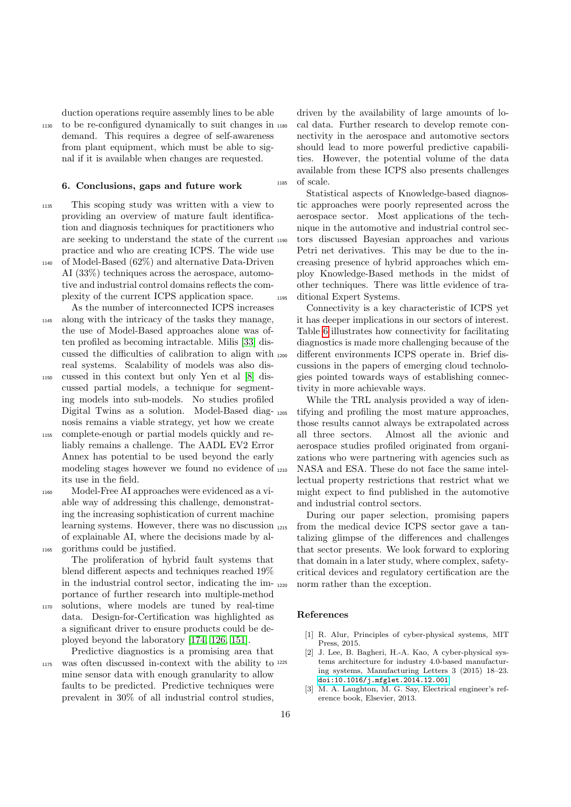duction operations require assembly lines to be able <sup>1130</sup> to be re-configured dynamically to suit changes in demand. This requires a degree of self-awareness from plant equipment, which must be able to sig-

## 6. Conclusions, gaps and future work

nal if it is available when changes are requested.

- <sup>1135</sup> This scoping study was written with a view to providing an overview of mature fault identification and diagnosis techniques for practitioners who are seeking to understand the state of the current practice and who are creating ICPS. The wide use <sup>1140</sup> of Model-Based (62%) and alternative Data-Driven
- AI (33%) techniques across the aerospace, automotive and industrial control domains reflects the complexity of the current ICPS application space. As the number of interconnected ICPS increases
- <sup>1145</sup> along with the intricacy of the tasks they manage, the use of Model-Based approaches alone was often profiled as becoming intractable. Milis [\[33\]](#page-17-9) discussed the difficulties of calibration to align with real systems. Scalability of models was also dis-
- <sup>1150</sup> cussed in this context but only Yen et al [\[8\]](#page-16-4) discussed partial models, a technique for segmenting models into sub-models. No studies profiled Digital Twins as a solution. Model-Based diagnosis remains a viable strategy, yet how we create
- <sup>1155</sup> complete-enough or partial models quickly and reliably remains a challenge. The AADL EV2 Error Annex has potential to be used beyond the early modeling stages however we found no evidence of its use in the field.
- <sup>1160</sup> Model-Free AI approaches were evidenced as a viable way of addressing this challenge, demonstrating the increasing sophistication of current machine learning systems. However, there was no discussion of explainable AI, where the decisions made by al-<sup>1165</sup> gorithms could be justified.

The proliferation of hybrid fault systems that blend different aspects and techniques reached 19% in the industrial control sector, indicating the importance of further research into multiple-method

<sup>1170</sup> solutions, where models are tuned by real-time data. Design-for-Certification was highlighted as a significant driver to ensure products could be deployed beyond the laboratory [\[174,](#page-22-13) [126,](#page-20-21) [151\]](#page-21-19).

Predictive diagnostics is a promising area that 1175 was often discussed in-context with the ability to <sup>1225</sup> mine sensor data with enough granularity to allow faults to be predicted. Predictive techniques were prevalent in 30% of all industrial control studies,

driven by the availability of large amounts of local data. Further research to develop remote connectivity in the aerospace and automotive sectors should lead to more powerful predictive capabilities. However, the potential volume of the data available from these ICPS also presents challenges <sup>1185</sup> of scale.

Statistical aspects of Knowledge-based diagnostic approaches were poorly represented across the aerospace sector. Most applications of the technique in the automotive and industrial control sectors discussed Bayesian approaches and various Petri net derivatives. This may be due to the increasing presence of hybrid approaches which employ Knowledge-Based methods in the midst of other techniques. There was little evidence of tra-<sup>1195</sup> ditional Expert Systems.

Connectivity is a key characteristic of ICPS yet it has deeper implications in our sectors of interest. Table [6](#page-16-20) illustrates how connectivity for facilitating diagnostics is made more challenging because of the different environments ICPS operate in. Brief discussions in the papers of emerging cloud technologies pointed towards ways of establishing connectivity in more achievable ways.

While the TRL analysis provided a way of identifying and profiling the most mature approaches, those results cannot always be extrapolated across all three sectors. Almost all the avionic and aerospace studies profiled originated from organizations who were partnering with agencies such as NASA and ESA. These do not face the same intellectual property restrictions that restrict what we might expect to find published in the automotive and industrial control sectors.

During our paper selection, promising papers from the medical device ICPS sector gave a tantalizing glimpse of the differences and challenges that sector presents. We look forward to exploring that domain in a later study, where complex, safetycritical devices and regulatory certification are the norm rather than the exception.

#### References

- <span id="page-15-0"></span>[1] R. Alur, Principles of cyber-physical systems, MIT Press, 2015.
- <span id="page-15-1"></span>[2] J. Lee, B. Bagheri, H.-A. Kao, A cyber-physical systems architecture for industry 4.0-based manufacturing systems, Manufacturing Letters 3 (2015) 18–23. [doi:10.1016/j.mfglet.2014.12.001](https://doi.org/10.1016/j.mfglet.2014.12.001).
- <span id="page-15-2"></span>[3] M. A. Laughton, M. G. Say, Electrical engineer's reference book, Elsevier, 2013.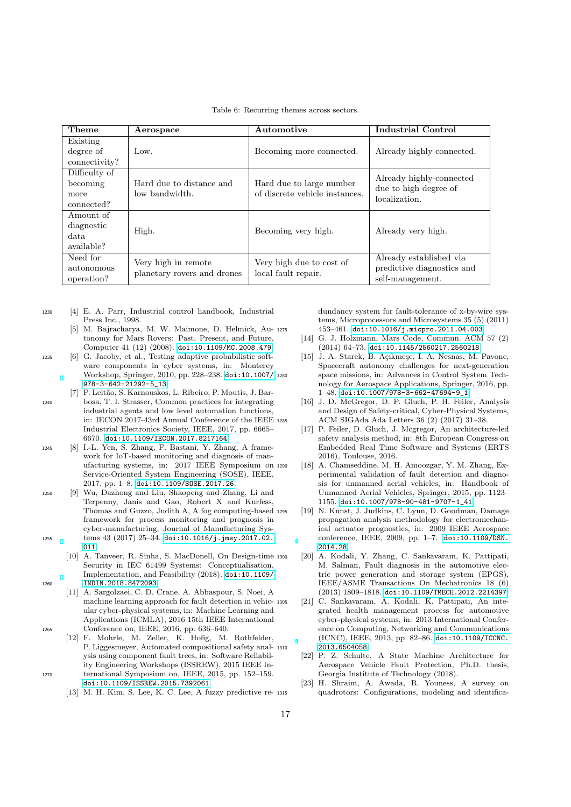Table 6: Recurring themes across sectors.

<span id="page-16-20"></span>

| Theme         | Aerospace                   | Automotive                     | <b>Industrial Control</b>              |
|---------------|-----------------------------|--------------------------------|----------------------------------------|
| Existing      |                             |                                |                                        |
| degree of     | Low.                        | Becoming more connected.       | Already highly connected.              |
| connectivity? |                             |                                |                                        |
| Difficulty of |                             |                                | Already highly-connected               |
| becoming      | Hard due to distance and    | Hard due to large number       | due to high degree of<br>localization. |
| more          | low bandwidth.              | of discrete vehicle instances. |                                        |
| connected?    |                             |                                |                                        |
| Amount of     |                             |                                |                                        |
| diagnostic    | High.                       | Becoming very high.            | Already very high.                     |
| data.         |                             |                                |                                        |
| available?    |                             |                                |                                        |
| Need for      | Very high in remote         | Very high due to cost of       | Already established via                |
| autonomous    | planetary rovers and drones | local fault repair.            | predictive diagnostics and             |
| operation?    |                             |                                | self-management.                       |

- <span id="page-16-1"></span><span id="page-16-0"></span><sup>1230</sup> [4] E. A. Parr, Industrial control handbook, Industrial Press Inc., 1998.
	- [5] M. Bajracharya, M. W. Maimone, D. Helmick, Autonomy for Mars Rovers: Past, Present, and Future, Computer 41 (12) (2008). [doi:10.1109/MC.2008.479](https://doi.org/10.1109/MC.2008.479).
- <span id="page-16-2"></span><sup>1235</sup> [6] G. Jacoby, et al., Testing adaptive probabilistic software components in cyber systems, in: Monterey Workshop, Springer, 2010, pp. 228–238. [doi:10.1007/](https://doi.org/10.1007/978-3-642-21292-5_13) [978-3-642-21292-5\\_13](https://doi.org/10.1007/978-3-642-21292-5_13).
- <span id="page-16-3"></span>P. Leitão, S. Karnouskos, L. Ribeiro, P. Moutis, J. Bar-<sup>1240</sup> bosa, T. I. Strasser, Common practices for integrating industrial agents and low level automation functions, in: IECON 2017-43rd Annual Conference of the IEEE Industrial Electronics Society, IEEE, 2017, pp. 6665– 6670. [doi:10.1109/IECON.2017.8217164](https://doi.org/10.1109/IECON.2017.8217164).
- <span id="page-16-4"></span><sup>1245</sup> [8] I.-L. Yen, S. Zhang, F. Bastani, Y. Zhang, A framework for IoT-based monitoring and diagnosis of manufacturing systems, in: 2017 IEEE Symposium on Service-Oriented System Engineering (SOSE), IEEE, 2017, pp. 1–8. [doi:10.1109/SOSE.2017.26](https://doi.org/10.1109/SOSE.2017.26).
- <span id="page-16-5"></span><sup>1250</sup> [9] Wu, Dazhong and Liu, Shaopeng and Zhang, Li and Terpenny, Janis and Gao, Robert X and Kurfess, Thomas and Guzzo, Judith A, A fog computing-based framework for process monitoring and prognosis in cyber-manufacturing, Journal of Manufacturing Sys1255 tems 43 (2017) 25-34. [doi:10.1016/j.jmsy.2017.02.](https://doi.org/10.1016/j.jmsy.2017.02.011) [011](https://doi.org/10.1016/j.jmsy.2017.02.011).
- <span id="page-16-6"></span>[10] A. Tanveer, R. Sinha, S. MacDonell, On Design-time Security in IEC 61499 Systems: Conceptualisation, Implementation, and Feasibility (2018). [doi:10.1109/](https://doi.org/10.1109/INDIN.2018.8472093) <sup>1260</sup> [INDIN.2018.8472093](https://doi.org/10.1109/INDIN.2018.8472093).
- <span id="page-16-7"></span>[11] A. Sargolzaei, C. D. Crane, A. Abbaspour, S. Noei, A machine learning approach for fault detection in vehicular cyber-physical systems, in: Machine Learning and Applications (ICMLA), 2016 15th IEEE International <sup>1265</sup> Conference on, IEEE, 2016, pp. 636–640.
- <span id="page-16-9"></span><span id="page-16-8"></span>[12] F. Mohrle, M. Zeller, K. Hofig, M. Rothfelder, P. Liggesmeyer, Automated compositional safety analysis using component fault trees, in: Software Reliability Engineering Workshops (ISSREW), 2015 IEEE In-<sup>1270</sup> ternational Symposium on, IEEE, 2015, pp. 152–159. [doi:10.1109/ISSREW.2015.7392061](https://doi.org/10.1109/ISSREW.2015.7392061).
	- [13] M. H. Kim, S. Lee, K. C. Lee, A fuzzy predictive re-

dundancy system for fault-tolerance of x-by-wire systems, Microprocessors and Microsystems 35 (5) (2011) <sup>1275</sup> 453–461. [doi:10.1016/j.micpro.2011.04.003](https://doi.org/10.1016/j.micpro.2011.04.003).

- <span id="page-16-10"></span>[14] G. J. Holzmann, Mars Code, Commun. ACM 57 (2) (2014) 64–73. [doi:10.1145/2560217.2560218](https://doi.org/10.1145/2560217.2560218).
- <span id="page-16-11"></span>[15] J. A. Starek, B. Açıkmeşe, I. A. Nesnas, M. Pavone, Spacecraft autonomy challenges for next-generation space missions, in: Advances in Control System Technology for Aerospace Applications, Springer, 2016, pp. 1–48. [doi:10.1007/978-3-662-47694-9\\_1](https://doi.org/10.1007/978-3-662-47694-9_1).
- <span id="page-16-12"></span>[16] J. D. McGregor, D. P. Gluch, P. H. Feiler, Analysis and Design of Safety-critical, Cyber-Physical Systems, <sup>1285</sup> ACM SIGAda Ada Letters 36 (2) (2017) 31–38.
- <span id="page-16-13"></span>[17] P. Feiler, D. Gluch, J. Mcgregor, An architecture-led safety analysis method, in: 8th European Congress on Embedded Real Time Software and Systems (ERTS 2016), Toulouse, 2016.
- <span id="page-16-14"></span>[18] A. Chamseddine, M. H. Amoozgar, Y. M. Zhang, Experimental validation of fault detection and diagnosis for unmanned aerial vehicles, in: Handbook of Unmanned Aerial Vehicles, Springer, 2015, pp. 1123– 1155. [doi:10.1007/978-90-481-9707-1\\_41](https://doi.org/10.1007/978-90-481-9707-1_41).
- <span id="page-16-15"></span>[19] N. Kunst, J. Judkins, C. Lynn, D. Goodman, Damage propagation analysis methodology for electromechanical actuator prognostics, in: 2009 IEEE Aerospace conference, IEEE, 2009, pp. 1–7. [doi:10.1109/DSN.](https://doi.org/10.1109/DSN.2014.28) [2014.28](https://doi.org/10.1109/DSN.2014.28)
- <span id="page-16-16"></span><sup>1300</sup> [20] A. Kodali, Y. Zhang, C. Sankavaram, K. Pattipati, M. Salman, Fault diagnosis in the automotive electric power generation and storage system (EPGS), IEEE/ASME Transactions On Mechatronics 18 (6) (2013) 1809–1818. [doi:10.1109/TMECH.2012.2214397](https://doi.org/10.1109/TMECH.2012.2214397).
- <span id="page-16-17"></span>[21] C. Sankavaram, A. Kodali, K. Pattipati, An integrated health management process for automotive cyber-physical systems, in: 2013 International Conference on Computing, Networking and Communications (ICNC), IEEE, 2013, pp. 82–86. [doi:10.1109/ICCNC.](https://doi.org/10.1109/ICCNC.2013.6504058) [2013.6504058](https://doi.org/10.1109/ICCNC.2013.6504058).
- <span id="page-16-18"></span>[22] P. Z. Schulte, A State Machine Architecture for Aerospace Vehicle Fault Protection, Ph.D. thesis, Georgia Institute of Technology (2018).
- <span id="page-16-19"></span>[23] H. Shraim, A. Awada, R. Youness, A survey on quadrotors: Configurations, modeling and identifica-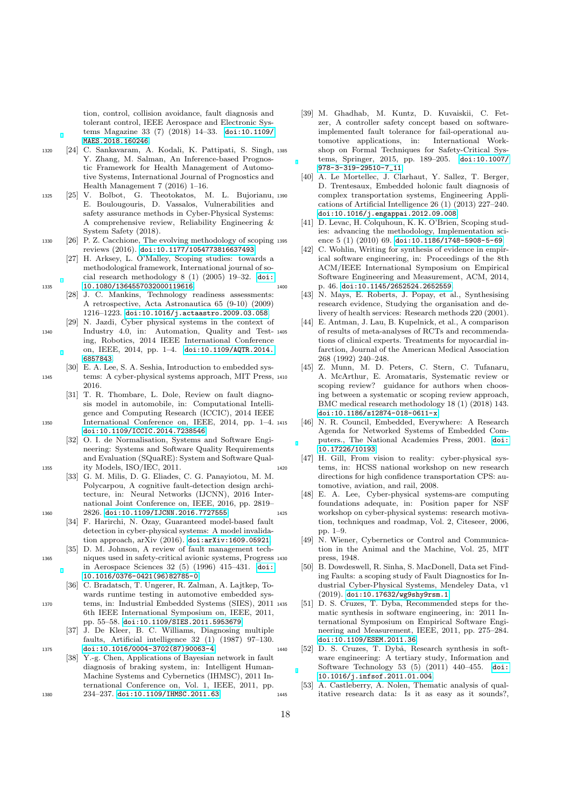tion, control, collision avoidance, fault diagnosis and tolerant control, IEEE Aerospace and Electronic Systems Magazine 33 (7) (2018) 14–33. [doi:10.1109/](https://doi.org/10.1109/MAES.2018.160246) [MAES.2018.160246](https://doi.org/10.1109/MAES.2018.160246).

- <span id="page-17-0"></span><sup>1320</sup> [24] C. Sankavaram, A. Kodali, K. Pattipati, S. Singh, Y. Zhang, M. Salman, An Inference-based Prognostic Framework for Health Management of Automotive Systems, International Journal of Prognostics and Health Management 7 (2016) 1–16.
- <span id="page-17-1"></span><sup>1325</sup> [25] V. Bolbot, G. Theotokatos, M. L. Bujorianu, E. Boulougouris, D. Vassalos, Vulnerabilities and safety assurance methods in Cyber-Physical Systems: A comprehensive review, Reliability Engineering & System Safety (2018).
- <span id="page-17-2"></span><sup>1330</sup> [26] P. Z. Cacchione, The evolving methodology of scoping reviews (2016). [doi:10.1177/1054773816637493](https://doi.org/10.1177/1054773816637493).
- <span id="page-17-3"></span>[27] H. Arksey, L. O'Malley, Scoping studies: towards a methodological framework, International journal of social research methodology 8 (1) (2005) 19–32. [doi:](https://doi.org/10.1080/1364557032000119616) 1335 [10.1080/1364557032000119616](https://doi.org/10.1080/1364557032000119616)
	- [28] J. C. Mankins, Technology readiness assessments: A retrospective, Acta Astronautica 65 (9-10) (2009) 1216–1223. [doi:10.1016/j.actaastro.2009.03.058](https://doi.org/10.1016/j.actaastro.2009.03.058).
- <span id="page-17-5"></span><span id="page-17-4"></span>[29] N. Jazdi, Cyber physical systems in the context of <sup>1340</sup> Industry 4.0, in: Automation, Quality and Testing, Robotics, 2014 IEEE International Conference on, IEEE, 2014, pp. 1–4. [doi:10.1109/AQTR.2014.](https://doi.org/10.1109/AQTR.2014.6857843) [6857843](https://doi.org/10.1109/AQTR.2014.6857843).
- <span id="page-17-6"></span>[30] E. A. Lee, S. A. Seshia, Introduction to embedded sys-<sup>1345</sup> tems: A cyber-physical systems approach, MIT Press, 2016.
- <span id="page-17-7"></span>[31] T. R. Thombare, L. Dole, Review on fault diagnosis model in automobile, in: Computational Intelligence and Computing Research (ICCIC), 2014 IEEE <sup>1350</sup> International Conference on, IEEE, 2014, pp. 1–4. [doi:10.1109/ICCIC.2014.7238546](https://doi.org/10.1109/ICCIC.2014.7238546).
- <span id="page-17-8"></span>[32] O. I. de Normalisation, Systems and Software Engineering: Systems and Software Quality Requirements and Evaluation (SQuaRE): System and Software Qual-<sup>1355</sup> ity Models, ISO/IEC, 2011.
- <span id="page-17-9"></span>[33] G. M. Milis, D. G. Eliades, C. G. Panayiotou, M. M. Polycarpou, A cognitive fault-detection design architecture, in: Neural Networks (IJCNN), 2016 International Joint Conference on, IEEE, 2016, pp. 2819– 1360 2826. [doi:10.1109/IJCNN.2016.7727555](https://doi.org/10.1109/IJCNN.2016.7727555).
	- [34] F. Harirchi, N. Ozay, Guaranteed model-based fault detection in cyber-physical systems: A model invalidation approach, arXiv (2016). [doi:arXiv:1609.05921](https://doi.org/arXiv:1609.05921).
- <span id="page-17-11"></span>[35] D. M. Johnson, A review of fault management tech-<sup>1365</sup> niques used in safety-critical avionic systems, Progress in Aerospace Sciences 32 (5) (1996) 415–431. [doi:](https://doi.org/10.1016/0376-0421(96)82785-0) [10.1016/0376-0421\(96\)82785-0](https://doi.org/10.1016/0376-0421(96)82785-0).
- <span id="page-17-12"></span>[36] C. Bradatsch, T. Ungerer, R. Zalman, A. Lajtkep, Towards runtime testing in automotive embedded sys-<sup>1370</sup> tems, in: Industrial Embedded Systems (SIES), 2011 6th IEEE International Symposium on, IEEE, 2011, pp. 55–58. [doi:10.1109/SIES.2011.5953679](https://doi.org/10.1109/SIES.2011.5953679).
- <span id="page-17-13"></span>[37] J. De Kleer, B. C. Williams, Diagnosing multiple faults, Artificial intelligence 32 (1) (1987) 97–130. <sup>1375</sup> [doi:10.1016/0004-3702\(87\)90063-4](https://doi.org/10.1016/0004-3702(87)90063-4).
- <span id="page-17-14"></span>[38] Y.-g. Chen, Applications of Bayesian network in fault diagnosis of braking system, in: Intelligent Human-Machine Systems and Cybernetics (IHMSC), 2011 International Conference on, Vol. 1, IEEE, 2011, pp. 1380 234-237. [doi:10.1109/IHMSC.2011.63](https://doi.org/10.1109/IHMSC.2011.63).
- <span id="page-17-15"></span>[39] M. Ghadhab, M. Kuntz, D. Kuvaiskii, C. Fetzer, A controller safety concept based on softwareimplemented fault tolerance for fail-operational automotive applications, in: shop on Formal Techniques for Safety-Critical Systems, Springer, 2015, pp. 189–205. [doi:10.1007/](https://doi.org/10.1007/978-3-319-29510-7_11) [978-3-319-29510-7\\_11](https://doi.org/10.1007/978-3-319-29510-7_11).
- <span id="page-17-16"></span>[40] A. Le Mortellec, J. Clarhaut, Y. Sallez, T. Berger, D. Trentesaux, Embedded holonic fault diagnosis of complex transportation systems, Engineering Applications of Artificial Intelligence 26 (1) (2013) 227–240. [doi:10.1016/j.engappai.2012.09.008](https://doi.org/10.1016/j.engappai.2012.09.008).
- <span id="page-17-18"></span><span id="page-17-17"></span>[41] D. Levac, H. Colquhoun, K. K. O'Brien, Scoping studies: advancing the methodology, Implementation science  $5(1)(2010)$  69. [doi:10.1186/1748-5908-5-69](https://doi.org/10.1186/1748-5908-5-69).
- <span id="page-17-20"></span><span id="page-17-19"></span>[42] C. Wohlin, Writing for synthesis of evidence in empirical software engineering, in: Proceedings of the 8th ACM/IEEE International Symposium on Empirical Software Engineering and Measurement, ACM, 2014, <sup>1400</sup> p. 46. [doi:10.1145/2652524.2652559](https://doi.org/10.1145/2652524.2652559).
	- [43] N. Mays, E. Roberts, J. Popay, et al., Synthesising research evidence, Studying the organisation and delivery of health services: Research methods 220 (2001).
	- [44] E. Antman, J. Lau, B. Kupelnick, et al., A comparison of results of meta-analyses of RCTs and recommendations of clinical experts. Treatments for myocardial infarction, Journal of the American Medical Association 268 (1992) 240–248.
	- [45] Z. Munn, M. D. Peters, C. Stern, C. Tufanaru, A. McArthur, E. Aromataris, Systematic review or scoping review? guidance for authors when choosing between a systematic or scoping review approach, BMC medical research methodology 18 (1) (2018) 143. [doi:10.1186/s12874-018-0611-x](https://doi.org/10.1186/s12874-018-0611-x).
	- [46] N. R. Council, Embedded, Everywhere: A Research Agenda for Networked Systems of Embedded Computers., The National Academies Press, 2001. [doi:](https://doi.org/10.17226/10193) [10.17226/10193](https://doi.org/10.17226/10193).
- <span id="page-17-23"></span><span id="page-17-22"></span><span id="page-17-21"></span>[47] H. Gill, From vision to reality: cyber-physical sys-<sup>1420</sup> tems, in: HCSS national workshop on new research directions for high confidence transportation CPS: automotive, aviation, and rail, 2008.
- <span id="page-17-26"></span><span id="page-17-25"></span><span id="page-17-24"></span>[48] E. A. Lee, Cyber-physical systems-are computing foundations adequate, in: Position paper for NSF <sup>1425</sup> workshop on cyber-physical systems: research motivation, techniques and roadmap, Vol. 2, Citeseer, 2006, pp. 1–9.
	- [49] N. Wiener, Cybernetics or Control and Communication in the Animal and the Machine, Vol. 25, MIT press, 1948.
	- [50] B. Dowdeswell, R. Sinha, S. MacDonell, Data set Finding Faults: a scoping study of Fault Diagnostics for Industrial Cyber-Physical Systems, Mendeley Data, v1 (2019). [doi:10.17632/wg9shy9rsm.1](https://doi.org/10.17632/wg9shy9rsm.1).
	- [51] D. S. Cruzes, T. Dyba, Recommended steps for thematic synthesis in software engineering, in: 2011 International Symposium on Empirical Software Engineering and Measurement, IEEE, 2011, pp. 275–284. [doi:10.1109/ESEM.2011.36](https://doi.org/10.1109/ESEM.2011.36).
- <span id="page-17-28"></span><span id="page-17-27"></span>1440 [52] D. S. Cruzes, T. Dybå, Research synthesis in software engineering: A tertiary study, Information and Software Technology 53 (5) (2011) 440–455. [doi:](https://doi.org/10.1016/j.infsof.2011.01.004) [10.1016/j.infsof.2011.01.004](https://doi.org/10.1016/j.infsof.2011.01.004).
- <span id="page-17-29"></span>[53] A. Castleberry, A. Nolen, Thematic analysis of qual-<sup>1445</sup> itative research data: Is it as easy as it sounds?,

<span id="page-17-10"></span>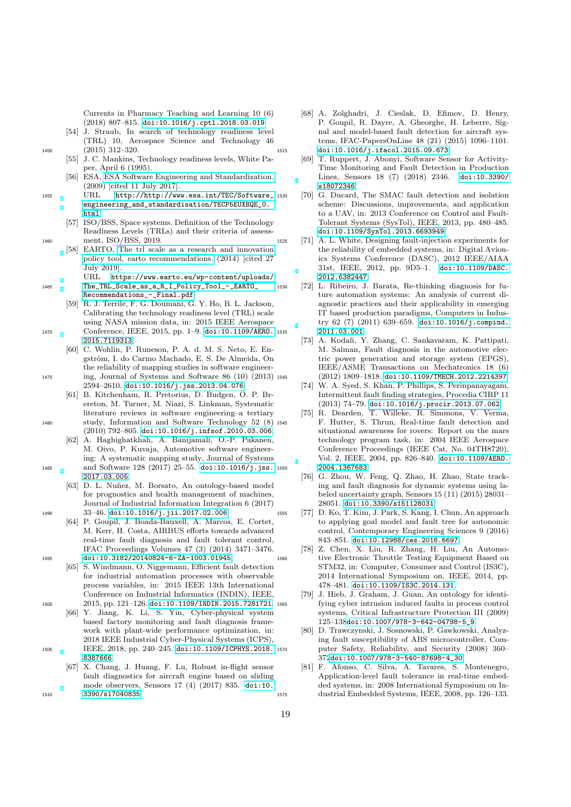<span id="page-18-0"></span>Currents in Pharmacy Teaching and Learning 10 (6) (2018) 807–815. [doi:10.1016/j.cptl.2018.03.019](https://doi.org/10.1016/j.cptl.2018.03.019).

- <span id="page-18-1"></span>[54] J. Straub, In search of technology readiness level (TRL) 10, Aerospace Science and Technology 46 <sup>1450</sup> (2015) 312–320.
	- [55] J. C. Mankins, Technology readiness levels, White Paper, April 6 (1995).
	- [56] ESA, [ESA Software Engineering and Standardization.](http://http://www.esa.int/TEC/Software_engineering_and_standardisation/TECP5EUXBQE_0.html) (2009) [cited 11 July 2017].
- <span id="page-18-2"></span><sup>1455</sup> URL [http://http://www.esa.int/TEC/Software\\_](http://http://www.esa.int/TEC/Software_engineering_and_standardisation/TECP5EUXBQE_0.html) [engineering\\_and\\_standardisation/TECP5EUXBQE\\_0.](http://http://www.esa.int/TEC/Software_engineering_and_standardisation/TECP5EUXBQE_0.html) [html](http://http://www.esa.int/TEC/Software_engineering_and_standardisation/TECP5EUXBQE_0.html)
- <span id="page-18-4"></span><span id="page-18-3"></span>[57] ISO/BSS, Space systems. Definition of the Technology Readiness Levels (TRLs) and their criteria of assess-<sup>1460</sup> ment, ISO/BSS, 2019.
	- [58] EARTO, [The trl scale as a research and innovation](https://www.earto.eu/wp-content/uploads/The_TRL_Scale_as_a_R_I_Policy_Tool_-_EARTO_Recommendations_-_Final.pdf) [policy tool, earto recommendations.](https://www.earto.eu/wp-content/uploads/The_TRL_Scale_as_a_R_I_Policy_Tool_-_EARTO_Recommendations_-_Final.pdf) (2014) [cited 27 July 2019]. URL [https://www.earto.eu/wp-content/uploads/](https://www.earto.eu/wp-content/uploads/The_TRL_Scale_as_a_R_I_Policy_Tool_-_EARTO_Recommendations_-_Final.pdf)
- <sup>1465</sup> [The\\_TRL\\_Scale\\_as\\_a\\_R\\_I\\_Policy\\_Tool\\_-\\_EARTO\\_](https://www.earto.eu/wp-content/uploads/The_TRL_Scale_as_a_R_I_Policy_Tool_-_EARTO_Recommendations_-_Final.pdf) [Recommendations\\_-\\_Final.pdf](https://www.earto.eu/wp-content/uploads/The_TRL_Scale_as_a_R_I_Policy_Tool_-_EARTO_Recommendations_-_Final.pdf)
- <span id="page-18-5"></span>[59] R. J. Terrile, F. G. Doumani, G. Y. Ho, B. L. Jackson, Calibrating the technology readiness level (TRL) scale using NASA mission data, in: 2015 IEEE Aerospace 1470 Conference, IEEE, 2015, pp. 1-9. [doi:10.1109/AERO.](https://doi.org/10.1109/AERO.2015.7119313) 1535 [2015.7119313](https://doi.org/10.1109/AERO.2015.7119313).
- <span id="page-18-6"></span>[60] C. Wohlin, P. Runeson, P. A. d. M. S. Neto, E. Engström, I. do Carmo Machado, E. S. De Almeida, On the reliability of mapping studies in software engineer-<sup>1475</sup> ing, Journal of Systems and Software 86 (10) (2013) 2594–2610. [doi:10.1016/j.jss.2013.04.076](https://doi.org/10.1016/j.jss.2013.04.076).
- <span id="page-18-7"></span>[61] B. Kitchenham, R. Pretorius, D. Budgen, O. P. Brereton, M. Turner, M. Niazi, S. Linkman, Systematic literature reviews in software engineering–a tertiary <sup>1480</sup> study, Information and Software Technology 52 (8)
	- (2010) 792–805. [doi:10.1016/j.infsof.2010.03.006](https://doi.org/10.1016/j.infsof.2010.03.006). [62] A. Haghighatkhah, A. Banijamali, O.-P. Pakanen,
- <span id="page-18-8"></span>M. Oivo, P. Kuvaja, Automotive software engineering: A systematic mapping study, Journal of Systems 1485 and Software 128 (2017) 25-55. [doi:10.1016/j.jss.](https://doi.org/10.1016/j.jss.2017.03.005) 1550 [2017.03.005](https://doi.org/10.1016/j.jss.2017.03.005).
- <span id="page-18-9"></span>[63] D. L. Nuñez, M. Borsato, An ontology-based model for prognostics and health management of machines, Journal of Industrial Information Integration 6 (2017) <sup>1490</sup> 33–46. [doi:10.1016/j.jii.2017.02.006](https://doi.org/10.1016/j.jii.2017.02.006).
- <span id="page-18-10"></span>[64] P. Goupil, J. Boada-Bauxell, A. Marcos, E. Cortet, M. Kerr, H. Costa, AIRBUS efforts towards advanced real-time fault diagnosis and fault tolerant control, IFAC Proceedings Volumes 47 (3) (2014) 3471–3476. <sup>1495</sup> [doi:10.3182/20140824-6-ZA-1003.01945](https://doi.org/10.3182/20140824-6-ZA-1003.01945).
- <span id="page-18-11"></span>[65] S. Windmann, O. Niggemann, Efficient fault detection for industrial automation processes with observable process variables, in: 2015 IEEE 13th International Conference on Industrial Informatics (INDIN), IEEE, 1500 2015, pp. 121-126. [doi:10.1109/INDIN.2015.7281721](https://doi.org/10.1109/INDIN.2015.7281721). 1565
- <span id="page-18-12"></span>[66] Y. Jiang, K. Li, S. Yin, Cyber-physical system based factory monitoring and fault diagnosis framework with plant-wide performance optimization, in: 2018 IEEE Industrial Cyber-Physical Systems (ICPS), <sup>1505</sup> IEEE, 2018, pp. 240–245. [doi:10.1109/ICPHYS.2018.](https://doi.org/10.1109/ICPHYS.2018.8387666)
	- [8387666](https://doi.org/10.1109/ICPHYS.2018.8387666). [67] X. Chang, J. Huang, F. Lu, Robust in-flight sensor
- <span id="page-18-13"></span>fault diagnostics for aircraft engine based on sliding mode observers, Sensors 17 (4) (2017) 835. [doi:10.](https://doi.org/10.3390/s17040835) <sup>1510</sup> [3390/s17040835](https://doi.org/10.3390/s17040835).
- <span id="page-18-15"></span><span id="page-18-14"></span>[68] A. Zolghadri, J. Cieslak, D. Efimov, D. Henry, P. Goupil, R. Dayre, A. Gheorghe, H. Leberre, Signal and model-based fault detection for aircraft systems, IFAC-PapersOnLine 48 (21) (2015) 1096–1101. <sup>1515</sup> [doi:10.1016/j.ifacol.2015.09.673](https://doi.org/10.1016/j.ifacol.2015.09.673).
	- [69] T. Ruppert, J. Abonyi, Software Sensor for Activity-Time Monitoring and Fault Detection in Production Lines, Sensors 18 (7) (2018) 2346. [doi:10.3390/](https://doi.org/10.3390/s18072346) [s18072346](https://doi.org/10.3390/s18072346).
	- [70] G. Ducard, The SMAC fault detection and isolation scheme: Discussions, improvements, and application to a UAV, in: 2013 Conference on Control and Fault-Tolerant Systems (SysTol), IEEE, 2013, pp. 480–485. [doi:10.1109/SysTol.2013.6693949](https://doi.org/10.1109/SysTol.2013.6693949).
- <span id="page-18-17"></span><span id="page-18-16"></span><sup>1525</sup> [71] A. L. White, Designing fault-injection experiments for the reliability of embedded systems, in: Digital Avionics Systems Conference (DASC), 2012 IEEE/AIAA 31st, IEEE, 2012, pp. 9D5–1. [doi:10.1109/DASC.](https://doi.org/10.1109/DASC.2012.6382447) [2012.6382447](https://doi.org/10.1109/DASC.2012.6382447).
- <span id="page-18-20"></span><span id="page-18-19"></span><span id="page-18-18"></span><sup>1530</sup> [72] L. Ribeiro, J. Barata, Re-thinking diagnosis for future automation systems: An analysis of current diagnostic practices and their applicability in emerging IT based production paradigms, Computers in Industry 62 (7) (2011) 639–659. [doi:10.1016/j.compind.](https://doi.org/10.1016/j.compind.2011.03.001) [2011.03.001](https://doi.org/10.1016/j.compind.2011.03.001).
	- [73] A. Kodali, Y. Zhang, C. Sankavaram, K. Pattipati, M. Salman, Fault diagnosis in the automotive electric power generation and storage system (EPGS), IEEE/ASME Transactions on Mechatronics 18 (6) <sup>1540</sup> (2012) 1809–1818. [doi:10.1109/TMECH.2012.2214397](https://doi.org/10.1109/TMECH.2012.2214397).
	- [74] W. A. Syed, S. Khan, P. Phillips, S. Perinpanayagam, Intermittent fault finding strategies, Procedia CIRP 11 (2013) 74–79. [doi:10.1016/j.procir.2013.07.062](https://doi.org/10.1016/j.procir.2013.07.062).
	- [75] R. Dearden, T. Willeke, R. Simmons, V. Verma, <sup>1545</sup> F. Hutter, S. Thrun, Real-time fault detection and situational awareness for rovers: Report on the mars technology program task, in: 2004 IEEE Aerospace Conference Proceedings (IEEE Cat. No. 04TH8720), Vol. 2, IEEE, 2004, pp. 826–840. [doi:10.1109/AERO.](https://doi.org/10.1109/AERO.2004.1367683) [2004.1367683](https://doi.org/10.1109/AERO.2004.1367683).
	- [76] G. Zhou, W. Feng, Q. Zhao, H. Zhao, State tracking and fault diagnosis for dynamic systems using labeled uncertainty graph, Sensors 15 (11) (2015) 28031– 28051. [doi:10.3390/s151128031](https://doi.org/10.3390/s151128031).
- <span id="page-18-23"></span><span id="page-18-22"></span><span id="page-18-21"></span><sup>1555</sup> [77] D. Ko, T. Kim, J. Park, S. Kang, I. Chun, An approach to applying goal model and fault tree for autonomic control, Contemporary Engineering Sciences 9 (2016) 843–851. [doi:10.12988/ces.2016.6697](https://doi.org/10.12988/ces.2016.6697).
- <span id="page-18-25"></span><span id="page-18-24"></span>[78] Z. Chen, X. Liu, R. Zhang, H. Liu, An Automo-<sup>1560</sup> tive Electronic Throttle Testing Equipment Based on STM32, in: Computer, Consumer and Control (IS3C), 2014 International Symposium on, IEEE, 2014, pp. 478–481. [doi:10.1109/IS3C.2014.131](https://doi.org/10.1109/IS3C.2014.131).
	- [79] J. Hieb, J. Graham, J. Guan, An ontology for identifying cyber intrusion induced faults in process control systems, Critical Infrastructure Protection III (2009) 125–138[doi:10.1007/978-3-642-04798-5\\_9](https://doi.org/10.1007/978-3-642-04798-5_9).
	- [80] D. Trawczynski, J. Sosnowski, P. Gawkowski, Analyzing fault susceptibility of ABS microcontroller, Computer Safety, Reliability, and Security (2008) 360– 372[doi:10.1007/978-3-540-87698-4\\_30](https://doi.org/10.1007/978-3-540-87698-4_30).
- <span id="page-18-27"></span><span id="page-18-26"></span>[81] F. Afonso, C. Silva, A. Tavares, S. Montenegro, Application-level fault tolerance in real-time embedded systems, in: 2008 International Symposium on In-<sup>1575</sup> dustrial Embedded Systems, IEEE, 2008, pp. 126–133.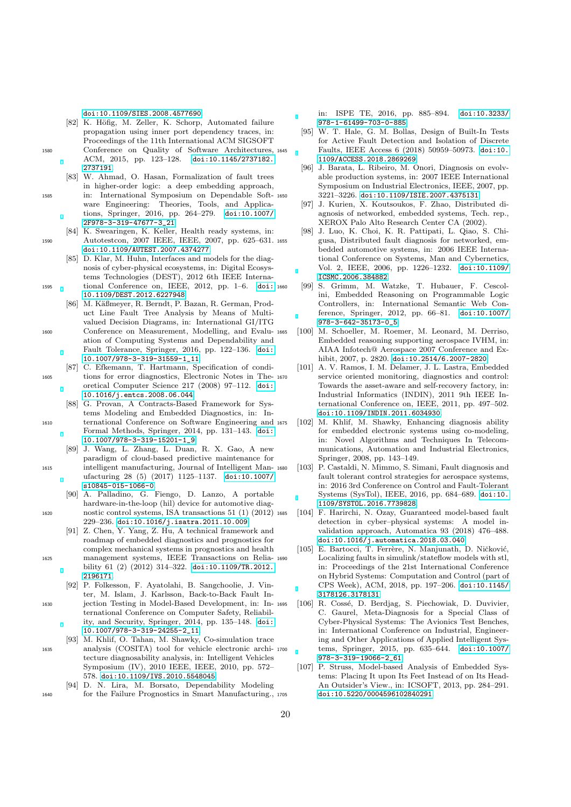<span id="page-19-0"></span>[doi:10.1109/SIES.2008.4577690](https://doi.org/10.1109/SIES.2008.4577690).

- [82] K. Höfig, M. Zeller, K. Schorp, Automated failure propagation using inner port dependency traces, in: Proceedings of the 11th International ACM SIGSOFT <sup>1580</sup> Conference on Quality of Software Architectures, ACM, 2015, pp. 123–128. [doi:10.1145/2737182.](https://doi.org/10.1145/2737182.2737191) [2737191](https://doi.org/10.1145/2737182.2737191).
	- [83] W. Ahmad, O. Hasan, Formalization of fault trees in higher-order logic: a deep embedding approach,
- <span id="page-19-1"></span><sup>1585</sup> in: International Symposium on Dependable Software Engineering: Theories, Tools, and Applications, Springer, 2016, pp. 264–279. [doi:10.1007/](https://doi.org/10.1007/2F978-3-319-47677-3_21) [2F978-3-319-47677-3\\_21](https://doi.org/10.1007/2F978-3-319-47677-3_21).
- <span id="page-19-2"></span>[84] K. Swearingen, K. Keller, Health ready systems, in: 1590 Autotestcon, 2007 IEEE, IEEE, 2007, pp. 625–631. 1655 [doi:10.1109/AUTEST.2007.4374277](https://doi.org/10.1109/AUTEST.2007.4374277).
- <span id="page-19-3"></span>[85] D. Klar, M. Huhn, Interfaces and models for the diagnosis of cyber-physical ecosystems, in: Digital Ecosystems Technologies (DEST), 2012 6th IEEE Interna-<sup>1595</sup> tional Conference on, IEEE, 2012, pp. 1–6. [doi:](https://doi.org/10.1109/DEST.2012.6227948)
	- [10.1109/DEST.2012.6227948](https://doi.org/10.1109/DEST.2012.6227948). [86] M. Käßmeyer, R. Berndt, P. Bazan, R. German, Product Line Fault Tree Analysis by Means of Multi-
- <span id="page-19-4"></span>valued Decision Diagrams, in: International GI/ITG <sup>1600</sup> Conference on Measurement, Modelling, and Evaluation of Computing Systems and Dependability and Fault Tolerance, Springer, 2016, pp. 122–136. [doi:](https://doi.org/10.1007/978-3-319-31559-1_11) [10.1007/978-3-319-31559-1\\_11](https://doi.org/10.1007/978-3-319-31559-1_11).
- <span id="page-19-5"></span>[87] C. Efkemann, T. Hartmann, Specification of condi-<sup>1605</sup> tions for error diagnostics, Electronic Notes in Theoretical Computer Science 217 (2008) 97–112. [doi:](https://doi.org/10.1016/j.entcs.2008.06.044) [10.1016/j.entcs.2008.06.044](https://doi.org/10.1016/j.entcs.2008.06.044).
- <span id="page-19-6"></span>[88] G. Provan, A Contracts-Based Framework for Systems Modeling and Embedded Diagnostics, in: In-<sup>1610</sup> ternational Conference on Software Engineering and Formal Methods, Springer, 2014, pp. 131–143. [doi:](https://doi.org/10.1007/978-3-319-15201-1_9) [10.1007/978-3-319-15201-1\\_9](https://doi.org/10.1007/978-3-319-15201-1_9).
- <span id="page-19-7"></span>[89] J. Wang, L. Zhang, L. Duan, R. X. Gao, A new paradigm of cloud-based predictive maintenance for <sup>1615</sup> intelligent manufacturing, Journal of Intelligent Manufacturing 28 (5) (2017) 1125–1137. [doi:10.1007/](https://doi.org/10.1007/s10845-015-1066-0) [s10845-015-1066-0](https://doi.org/10.1007/s10845-015-1066-0).
- <span id="page-19-8"></span>[90] A. Palladino, G. Fiengo, D. Lanzo, A portable hardware-in-the-loop (hil) device for automotive diag-<sup>1620</sup> nostic control systems, ISA transactions 51 (1) (2012) 229–236. [doi:10.1016/j.isatra.2011.10.009](https://doi.org/10.1016/j.isatra.2011.10.009).
	- [91] Z. Chen, Y. Yang, Z. Hu, A technical framework and roadmap of embedded diagnostics and prognostics for complex mechanical systems in prognostics and health
- <sup>1625</sup> management systems, IEEE Transactions on Reliability 61 (2) (2012) 314–322. [doi:10.1109/TR.2012.](https://doi.org/10.1109/TR.2012.2196171) [2196171](https://doi.org/10.1109/TR.2012.2196171).
- <span id="page-19-10"></span>[92] P. Folkesson, F. Ayatolahi, B. Sangchoolie, J. Vinter, M. Islam, J. Karlsson, Back-to-Back Fault In-<sup>1630</sup> jection Testing in Model-Based Development, in: International Conference on Computer Safety, Reliability, and Security, Springer, 2014, pp. 135–148. [doi:](https://doi.org/10.1007/978-3-319-24255-2_11) [10.1007/978-3-319-24255-2\\_11](https://doi.org/10.1007/978-3-319-24255-2_11).
- <span id="page-19-11"></span>[93] M. Khlif, O. Tahan, M. Shawky, Co-simulation trace <sup>1635</sup> analysis (COSITA) tool for vehicle electronic architecture diagnosability analysis, in: Intelligent Vehicles Symposium (IV), 2010 IEEE, IEEE, 2010, pp. 572– 578. [doi:10.1109/IVS.2010.5548045](https://doi.org/10.1109/IVS.2010.5548045).
- <span id="page-19-12"></span>[94] D. N. Lira, M. Borsato, Dependability Modeling <sup>1640</sup> for the Failure Prognostics in Smart Manufacturing.,

in: ISPE TE, 2016, pp. 885–894. [doi:10.3233/](https://doi.org/10.3233/978-1-61499-703-0-885) [978-1-61499-703-0-885](https://doi.org/10.3233/978-1-61499-703-0-885).

- <span id="page-19-13"></span>[95] W. T. Hale, G. M. Bollas, Design of Built-In Tests for Active Fault Detection and Isolation of Discrete Faults, IEEE Access 6 (2018) 50959-50973. [doi:10.](https://doi.org/10.1109/ACCESS.2018.2869269) [1109/ACCESS.2018.2869269](https://doi.org/10.1109/ACCESS.2018.2869269).
- <span id="page-19-14"></span>[96] J. Barata, L. Ribeiro, M. Onori, Diagnosis on evolvable production systems, in: 2007 IEEE International Symposium on Industrial Electronics, IEEE, 2007, pp. 3221–3226. [doi:10.1109/ISIE.2007.4375131](https://doi.org/10.1109/ISIE.2007.4375131).<br>[97] J. Kurien, X. Koutsoukos, F. Zhao, Distrib
- <span id="page-19-15"></span>[97] J. Kurien, X. Koutsoukos, F. Zhao, Distributed diagnosis of networked, embedded systems, Tech. rep., XEROX Palo Alto Research Center CA (2002).
- <span id="page-19-16"></span>[98] J. Luo, K. Choi, K. R. Pattipati, L. Qiao, S. Chigusa, Distributed fault diagnosis for networked, embedded automotive systems, in: 2006 IEEE International Conference on Systems, Man and Cybernetics, Vol. 2, IEEE, 2006, pp. 1226–1232. [doi:10.1109/](https://doi.org/10.1109/ICSMC.2006.384882) [ICSMC.2006.384882](https://doi.org/10.1109/ICSMC.2006.384882).
- <span id="page-19-17"></span><sup>1660</sup> [99] S. Grimm, M. Watzke, T. Hubauer, F. Cescolini, Embedded Reasoning on Programmable Logic Controllers, in: International Semantic Web Conference, Springer, 2012, pp. 66–81. [doi:10.1007/](https://doi.org/10.1007/978-3-642-35173-0_5) [978-3-642-35173-0\\_5](https://doi.org/10.1007/978-3-642-35173-0_5).
- <span id="page-19-18"></span>[100] M. Schoeller, M. Roemer, M. Leonard, M. Derriso, Embedded reasoning supporting aerospace IVHM, in: AIAA Infotech@ Aerospace 2007 Conference and Exhibit, 2007, p. 2820. [doi:10.2514/6.2007-2820](https://doi.org/10.2514/6.2007-2820).
- <span id="page-19-19"></span>[101] A. V. Ramos, I. M. Delamer, J. L. Lastra, Embedded service oriented monitoring, diagnostics and control: Towards the asset-aware and self-recovery factory, in: Industrial Informatics (INDIN), 2011 9th IEEE International Conference on, IEEE, 2011, pp. 497–502. [doi:10.1109/INDIN.2011.6034930](https://doi.org/10.1109/INDIN.2011.6034930).
- <span id="page-19-20"></span>[102] M. Khlif, M. Shawky, Enhancing diagnosis ability for embedded electronic systems using co-modeling, in: Novel Algorithms and Techniques In Telecommunications, Automation and Industrial Electronics, Springer, 2008, pp. 143–149.
- <span id="page-19-21"></span><sup>1680</sup> [103] P. Castaldi, N. Mimmo, S. Simani, Fault diagnosis and fault tolerant control strategies for aerospace systems, in: 2016 3rd Conference on Control and Fault-Tolerant Systems (SysTol), IEEE, 2016, pp. 684–689. [doi:10.](https://doi.org/10.1109/SYSTOL.2016.7739828) [1109/SYSTOL.2016.7739828](https://doi.org/10.1109/SYSTOL.2016.7739828).
- <span id="page-19-22"></span>[104] F. Harirchi, N. Ozay, Guaranteed model-based fault detection in cyber–physical systems: A model invalidation approach, Automatica 93 (2018) 476–488. [doi:10.1016/j.automatica.2018.03.040](https://doi.org/10.1016/j.automatica.2018.03.040).
- <span id="page-19-23"></span>[105] E. Bartocci, T. Ferrère, N. Manjunath, D. Ničković, Localizing faults in simulink/stateflow models with stl, in: Proceedings of the 21st International Conference on Hybrid Systems: Computation and Control (part of CPS Week), ACM, 2018, pp. 197–206. [doi:10.1145/](https://doi.org/10.1145/3178126.3178131) [3178126.3178131](https://doi.org/10.1145/3178126.3178131).
- <span id="page-19-24"></span>[106] R. Cossé, D. Berdjag, S. Piechowiak, D. Duvivier, C. Gaurel, Meta-Diagnosis for a Special Class of Cyber-Physical Systems: The Avionics Test Benches, in: International Conference on Industrial, Engineering and Other Applications of Applied Intelligent Systems, Springer, 2015, pp. 635–644. [doi:10.1007/](https://doi.org/10.1007/978-3-319-19066-2_61) [978-3-319-19066-2\\_61](https://doi.org/10.1007/978-3-319-19066-2_61).
- <span id="page-19-25"></span>[107] P. Struss, Model-based Analysis of Embedded Systems: Placing It upon Its Feet Instead of on Its Head-An Outsider's View., in: ICSOFT, 2013, pp. 284–291. <sup>1705</sup> [doi:10.5220/0004596102840291](https://doi.org/10.5220/0004596102840291).

<span id="page-19-9"></span>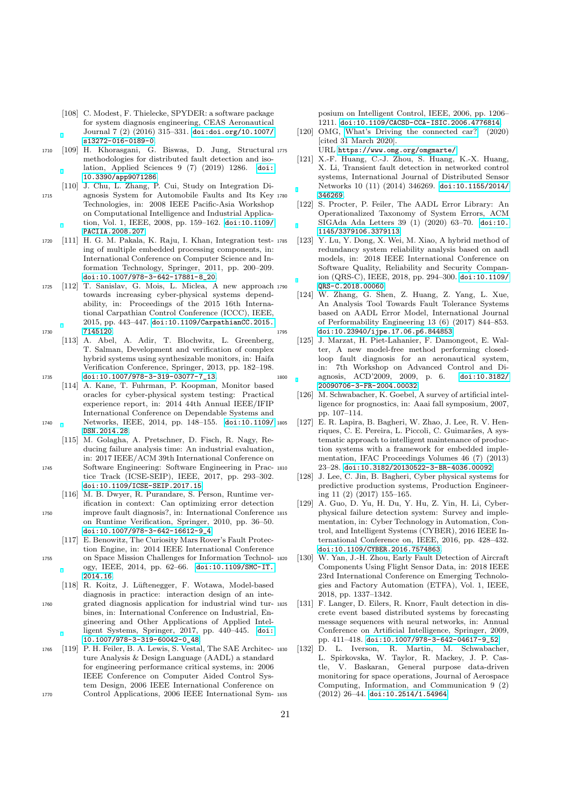- <span id="page-20-1"></span>[108] C. Modest, F. Thielecke, SPYDER: a software package for system diagnosis engineering, CEAS Aeronautical Journal 7 (2) (2016) 315–331. [doi:doi.org/10.1007/](https://doi.org/doi.org/10.1007/s13272-016-0189-0) [s13272-016-0189-0](https://doi.org/doi.org/10.1007/s13272-016-0189-0).
- <span id="page-20-2"></span><sup>1710</sup> [109] H. Khorasgani, G. Biswas, D. Jung, Structural methodologies for distributed fault detection and isolation, Applied Sciences 9 (7) (2019) 1286. [doi:](https://doi.org/10.3390/app9071286) [10.3390/app9071286](https://doi.org/10.3390/app9071286).
- <span id="page-20-3"></span>[110] J. Chu, L. Zhang, P. Cui, Study on Integration Di-<sup>1715</sup> agnosis System for Automobile Faults and Its Key Technologies, in: 2008 IEEE Pacific-Asia Workshop on Computational Intelligence and Industrial Application, Vol. 1, IEEE, 2008, pp. 159–162. [doi:10.1109/](https://doi.org/10.1109/PACIIA.2008.207) [PACIIA.2008.207](https://doi.org/10.1109/PACIIA.2008.207).
- <span id="page-20-4"></span><sup>1720</sup> [111] H. G. M. Pakala, K. Raju, I. Khan, Integration testing of multiple embedded processing components, in: International Conference on Computer Science and Information Technology, Springer, 2011, pp. 200–209. [doi:10.1007/978-3-642-17881-8\\_20](https://doi.org/10.1007/978-3-642-17881-8_20).
- <span id="page-20-5"></span><sup>1725</sup> [112] T. Sanislav, G. Mois, L. Miclea, A new approach towards increasing cyber-physical systems dependability, in: Proceedings of the 2015 16th International Carpathian Control Conference (ICCC), IEEE, 2015, pp. 443–447. [doi:10.1109/CarpathianCC.2015.](https://doi.org/10.1109/CarpathianCC.2015.7145120) <sup>1730</sup> [7145120](https://doi.org/10.1109/CarpathianCC.2015.7145120).
- <span id="page-20-6"></span>[113] A. Abel, A. Adir, T. Blochwitz, L. Greenberg, T. Salman, Development and verification of complex hybrid systems using synthesizable monitors, in: Haifa Verification Conference, Springer, 2013, pp. 182–198. <sup>1735</sup> [doi:10.1007/978-3-319-03077-7\\_13](https://doi.org/10.1007/978-3-319-03077-7_13).
- <span id="page-20-7"></span>[114] A. Kane, T. Fuhrman, P. Koopman, Monitor based oracles for cyber-physical system testing: Practical experience report, in: 2014 44th Annual IEEE/IFIP International Conference on Dependable Systems and <sup>1740</sup> Networks, IEEE, 2014, pp. 148–155. [doi:10.1109/](https://doi.org/10.1109/DSN.2014.28) [DSN.2014.28](https://doi.org/10.1109/DSN.2014.28).
	- [115] M. Golagha, A. Pretschner, D. Fisch, R. Nagy, Reducing failure analysis time: An industrial evaluation, in: 2017 IEEE/ACM 39th International Conference on
- <span id="page-20-8"></span><sup>1745</sup> Software Engineering: Software Engineering in Practice Track (ICSE-SEIP), IEEE, 2017, pp. 293–302. [doi:10.1109/ICSE-SEIP.2017.15](https://doi.org/10.1109/ICSE-SEIP.2017.15).
	- [116] M. B. Dwyer, R. Purandare, S. Person, Runtime verification in context: Can optimizing error detection
- <span id="page-20-9"></span><sup>1750</sup> improve fault diagnosis?, in: International Conference on Runtime Verification, Springer, 2010, pp. 36–50. [doi:10.1007/978-3-642-16612-9\\_4](https://doi.org/10.1007/978-3-642-16612-9_4).
	- [117] E. Benowitz, The Curiosity Mars Rover's Fault Protection Engine, in: 2014 IEEE International Conference
- <span id="page-20-10"></span><sup>1755</sup> on Space Mission Challenges for Information Technology, IEEE, 2014, pp. 62–66. [doi:10.1109/SMC-IT.](https://doi.org/10.1109/SMC-IT.2014.16) [2014.16](https://doi.org/10.1109/SMC-IT.2014.16).
- <span id="page-20-17"></span><span id="page-20-0"></span>[118] R. Koitz, J. Lüftenegger, F. Wotawa, Model-based diagnosis in practice: interaction design of an inte-<sup>1760</sup> grated diagnosis application for industrial wind turbines, in: International Conference on Industrial, Engineering and Other Applications of Applied Intelligent Systems, Springer, 2017, pp. 440–445. [doi:](https://doi.org/10.1007/978-3-319-60042-0_48) [10.1007/978-3-319-60042-0\\_48](https://doi.org/10.1007/978-3-319-60042-0_48).
- <span id="page-20-19"></span><span id="page-20-11"></span><sup>1765</sup> [119] P. H. Feiler, B. A. Lewis, S. Vestal, The SAE Architecture Analysis & Design Language (AADL) a standard for engineering performance critical systems, in: 2006 IEEE Conference on Computer Aided Control System Design, 2006 IEEE International Conference on
- <sup>1770</sup> Control Applications, 2006 IEEE International Sym-

posium on Intelligent Control, IEEE, 2006, pp. 1206– 1211. [doi:10.1109/CACSD-CCA-ISIC.2006.4776814](https://doi.org/10.1109/CACSD-CCA-ISIC.2006.4776814).

- <span id="page-20-12"></span>[120] OMG, [What's Driving the connected car?](https://www.omg.org/omgmarte/) (2020) [cited 31 March 2020]. URL <https://www.omg.org/omgmarte/>
- <span id="page-20-13"></span>[121] X.-F. Huang, C.-J. Zhou, S. Huang, K.-X. Huang, X. Li, Transient fault detection in networked control systems, International Journal of Distributed Sensor Networks 10 (11) (2014) 346269. [doi:10.1155/2014/](https://doi.org/10.1155/2014/346269)
- <span id="page-20-14"></span>[346269](https://doi.org/10.1155/2014/346269).<br>[122] S. Proc S. Procter, P. Feiler, The AADL Error Library: An Operationalized Taxonomy of System Errors, ACM SIGAda Ada Letters 39 (1) (2020) 63–70. [doi:10.](https://doi.org/10.1145/3379106.3379113) [1145/3379106.3379113](https://doi.org/10.1145/3379106.3379113).
- <span id="page-20-15"></span>[123] Y. Lu, Y. Dong, X. Wei, M. Xiao, A hybrid method of redundancy system reliability analysis based on aadl models, in: 2018 IEEE International Conference on Software Quality, Reliability and Security Companion (QRS-C), IEEE, 2018, pp. 294–300. [doi:10.1109/](https://doi.org/10.1109/QRS-C.2018.00060) <sup>1790</sup> [QRS-C.2018.00060](https://doi.org/10.1109/QRS-C.2018.00060).
- <span id="page-20-16"></span>[124] W. Zhang, G. Shen, Z. Huang, Z. Yang, L. Xue, An Analysis Tool Towards Fault Tolerance Systems based on AADL Error Model, International Journal of Performability Engineering 13 (6) (2017) 844–853. <sup>1795</sup> [doi:10.23940/ijpe.17.06.p6.844853](https://doi.org/10.23940/ijpe.17.06.p6.844853).
- <span id="page-20-24"></span><span id="page-20-23"></span><span id="page-20-22"></span><span id="page-20-21"></span><span id="page-20-20"></span><span id="page-20-18"></span>[125] J. Marzat, H. Piet-Lahanier, F. Damongeot, E. Walter, A new model-free method performing closedloop fault diagnosis for an aeronautical system, in: 7th Workshop on Advanced Control and Di-<sup>1800</sup> agnosis, ACD'2009, 2009, p. 6. [doi:10.3182/](https://doi.org/10.3182/20090706-3-FR-2004.00032) [20090706-3-FR-2004.00032](https://doi.org/10.3182/20090706-3-FR-2004.00032).
	- [126] M. Schwabacher, K. Goebel, A survey of artificial intelligence for prognostics, in: Aaai fall symposium, 2007, pp. 107–114.
	- [127] E. R. Lapira, B. Bagheri, W. Zhao, J. Lee, R. V. Henriques, C. E. Pereira, L. Piccoli, C. Guimarães, A systematic approach to intelligent maintenance of production systems with a framework for embedded implementation, IFAC Proceedings Volumes 46 (7) (2013) <sup>1810</sup> 23–28. [doi:10.3182/20130522-3-BR-4036.00092](https://doi.org/10.3182/20130522-3-BR-4036.00092).
	- [128] J. Lee, C. Jin, B. Bagheri, Cyber physical systems for predictive production systems, Production Engineering 11 (2) (2017) 155–165.
	- [129] A. Guo, D. Yu, H. Du, Y. Hu, Z. Yin, H. Li, Cyberphysical failure detection system: Survey and implementation, in: Cyber Technology in Automation, Control, and Intelligent Systems (CYBER), 2016 IEEE International Conference on, IEEE, 2016, pp. 428–432. [doi:10.1109/CYBER.2016.7574863](https://doi.org/10.1109/CYBER.2016.7574863).
	- [130] W. Yan, J.-H. Zhou, Early Fault Detection of Aircraft Components Using Flight Sensor Data, in: 2018 IEEE 23rd International Conference on Emerging Technologies and Factory Automation (ETFA), Vol. 1, IEEE, 2018, pp. 1337–1342.
	- [131] F. Langer, D. Eilers, R. Knorr, Fault detection in discrete event based distributed systems by forecasting message sequences with neural networks, in: Annual Conference on Artificial Intelligence, Springer, 2009, pp. 411–418. [doi:10.1007/978-3-642-04617-9\\_52](https://doi.org/10.1007/978-3-642-04617-9_52).
	- <sup>1830</sup> [132] D. L. Iverson, R. Martin, M. Schwabacher, L. Spirkovska, W. Taylor, R. Mackey, J. P. Castle, V. Baskaran, General purpose data-driven monitoring for space operations, Journal of Aerospace Computing, Information, and Communication 9 (2)  $(2012)$  26-44. [doi:10.2514/1.54964](https://doi.org/10.2514/1.54964).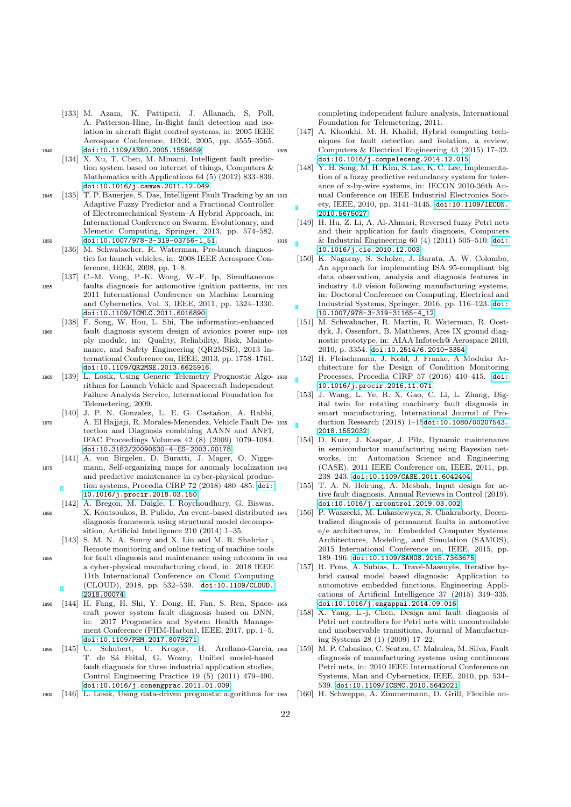- <span id="page-21-1"></span>[133] M. Azam, K. Pattipati, J. Allanach, S. Poll, A. Patterson-Hine, In-flight fault detection and isolation in aircraft flight control systems, in: 2005 IEEE Aerospace Conference, IEEE, 2005, pp. 3555–3565. <sup>1840</sup> [doi:10.1109/AERO.2005.1559659](https://doi.org/10.1109/AERO.2005.1559659).
	- [134] X. Xu, T. Chen, M. Minami, Intelligent fault prediction system based on internet of things, Computers & Mathematics with Applications 64 (5) (2012) 833–839. [doi:10.1016/j.camwa.2011.12.049](https://doi.org/10.1016/j.camwa.2011.12.049).
- <span id="page-21-6"></span><span id="page-21-5"></span><sup>1845</sup> [135] T. P. Banerjee, S. Das, Intelligent Fault Tracking by an Adaptive Fuzzy Predictor and a Fractional Controller of Electromechanical System–A Hybrid Approach, in: International Conference on Swarm, Evolutionary, and Memetic Computing, Springer, 2013, pp. 574–582. 1850 [doi:10.1007/978-3-319-03756-1\\_51](https://doi.org/10.1007/978-3-319-03756-1_51).
	- [136] M. Schwabacher, R. Waterman, Pre-launch diagnostics for launch vehicles, in: 2008 IEEE Aerospace Conference, IEEE, 2008, pp. 1–8.
- <span id="page-21-8"></span><span id="page-21-7"></span>[137] C.-M. Vong, P.-K. Wong, W.-F. Ip, Simultaneous <sup>1855</sup> faults diagnosis for automotive ignition patterns, in: 2011 International Conference on Machine Learning and Cybernetics, Vol. 3, IEEE, 2011, pp. 1324–1330. [doi:10.1109/ICMLC.2011.6016890](https://doi.org/10.1109/ICMLC.2011.6016890).
- <span id="page-21-9"></span>[138] F. Song, W. Hou, L. Shi, The information-enhanced <sup>1860</sup> fault diagnosis system design of avionics power supply module, in: Quality, Reliability, Risk, Maintenance, and Safety Engineering (QR2MSE), 2013 International Conference on, IEEE, 2013, pp. 1758–1761. [doi:10.1109/QR2MSE.2013.6625916](https://doi.org/10.1109/QR2MSE.2013.6625916).
- <span id="page-21-10"></span><sup>1865</sup> [139] L. Losik, Using Generic Telemetry Prognostic Algorithms for Launch Vehicle and Spacecraft Independent Failure Analysis Service, International Foundation for Telemetering, 2009.
- <span id="page-21-11"></span>[140] J. P. N. Gonzalez, L. E. G. Castañon, A. Rabhi, <sup>1870</sup> A. El Hajjaji, R. Morales-Menendez, Vehicle Fault Detection and Diagnosis combining AANN and ANFI, IFAC Proceedings Volumes 42 (8) (2009) 1079–1084. [doi:10.3182/20090630-4-ES-2003.00178](https://doi.org/10.3182/20090630-4-ES-2003.00178).
- <span id="page-21-27"></span><span id="page-21-12"></span>[141] A. von Birgelen, D. Buratti, J. Mager, O. Nigge-<sup>1875</sup> mann, Self-organizing maps for anomaly localization and predictive maintenance in cyber-physical production systems, Procedia CIRP 72 (2018) 480–485. [doi:](https://doi.org/10.1016/j.procir.2018.03.150) [10.1016/j.procir.2018.03.150](https://doi.org/10.1016/j.procir.2018.03.150).
	- [142] A. Bregon, M. Daigle, I. Roychoudhury, G. Biswas,
- <span id="page-21-24"></span><span id="page-21-13"></span><sup>1880</sup> X. Koutsoukos, B. Pulido, An event-based distributed diagnosis framework using structural model decomposition, Artificial Intelligence 210 (2014) 1–35.
	- [143] S. M. N. A. Sunny and X. Liu and M. R. Shahriar Remote monitoring and online testing of machine tools
- <span id="page-21-26"></span><span id="page-21-14"></span><sup>1885</sup> for fault diagnosis and maintenance using mtcomm in a cyber-physical manufacturing cloud, in: 2018 IEEE 11th International Conference on Cloud Computing (CLOUD), 2018, pp. 532–539. [doi:10.1109/CLOUD.](https://doi.org/10.1109/CLOUD.2018.00074) [2018.00074](https://doi.org/10.1109/CLOUD.2018.00074).
- <span id="page-21-21"></span><span id="page-21-0"></span><sup>1890</sup> [144] H. Fang, H. Shi, Y. Dong, H. Fan, S. Ren, Spacecraft power system fault diagnosis based on DNN, in: 2017 Prognostics and System Health Management Conference (PHM-Harbin), IEEE, 2017, pp. 1–5. [doi:10.1109/PHM.2017.8079271](https://doi.org/10.1109/PHM.2017.8079271).
- <span id="page-21-22"></span><span id="page-21-15"></span><sup>1895</sup> [145] U. Schubert, U. Kruger, H. Arellano-Garcia, T. de Sá Feital, G. Wozny, Unified model-based fault diagnosis for three industrial application studies, Control Engineering Practice 19 (5) (2011) 479–490. [doi:10.1016/j.conengprac.2011.01.009](https://doi.org/10.1016/j.conengprac.2011.01.009).
- <span id="page-21-25"></span><span id="page-21-16"></span><sup>1900</sup> [146] L. Losik, Using data-driven prognostic algorithms for

completing independent failure analysis, International Foundation for Telemetering, 2011.

- <span id="page-21-3"></span><span id="page-21-2"></span>[147] A. Khoukhi, M. H. Khalid, Hybrid computing techniques for fault detection and isolation, a review, <sup>1905</sup> Computers & Electrical Engineering 43 (2015) 17–32. [doi:10.1016/j.compeleceng.2014.12.015](https://doi.org/10.1016/j.compeleceng.2014.12.015).
	- [148] Y. H. Song, M. H. Kim, S. Lee, K. C. Lee, Implementation of a fuzzy predictive redundancy system for tolerance of x-by-wire systems, in: IECON 2010-36th Annual Conference on IEEE Industrial Electronics Society, IEEE, 2010, pp. 3141–3145. [doi:10.1109/IECON.](https://doi.org/10.1109/IECON.2010.5675027) [2010.5675027](https://doi.org/10.1109/IECON.2010.5675027).
- <span id="page-21-23"></span><span id="page-21-20"></span><span id="page-21-19"></span><span id="page-21-18"></span><span id="page-21-17"></span><span id="page-21-4"></span>[149] H. Hu, Z. Li, A. Al-Ahmari, Reversed fuzzy Petri nets and their application for fault diagnosis, Computers <sup>1915</sup> & Industrial Engineering 60 (4) (2011) 505–510. [doi:](https://doi.org/10.1016/j.cie.2010.12.003) [10.1016/j.cie.2010.12.003](https://doi.org/10.1016/j.cie.2010.12.003).
	- [150] K. Nagorny, S. Scholze, J. Barata, A. W. Colombo, An approach for implementing ISA 95-compliant big data observation, analysis and diagnosis features in  $industrv$  4.0 vision following manufacturing systems. in: Doctoral Conference on Computing, Electrical and Industrial Systems, Springer, 2016, pp. 116–123. [doi:](https://doi.org/10.1007/978-3-319-31165-4_12) [10.1007/978-3-319-31165-4\\_12](https://doi.org/10.1007/978-3-319-31165-4_12).
	- [151] M. Schwabacher, R. Martin, R. Waterman, R. Oostdyk, J. Ossenfort, B. Matthews, Ares IX ground diagnostic prototype, in: AIAA Infotech@ Aerospace 2010, 2010, p. 3354. [doi:10.2514/6.2010-3354](https://doi.org/10.2514/6.2010-3354).
	- [152] H. Fleischmann, J. Kohl, J. Franke, A Modular Architecture for the Design of Condition Monitoring Processes, Procedia CIRP 57 (2016) 410-415. [doi:](https://doi.org/10.1016/j.procir.2016.11.071) [10.1016/j.procir.2016.11.071](https://doi.org/10.1016/j.procir.2016.11.071).
	- [153] J. Wang, L. Ye, R. X. Gao, C. Li, L. Zhang, Digital twin for rotating machinery fault diagnosis in smart manufacturing, International Journal of Production Research (2018) 1-15[doi:10.1080/00207543.](https://doi.org/10.1080/00207543.2018.1552032) [2018.1552032](https://doi.org/10.1080/00207543.2018.1552032).
	- [154] D. Kurz, J. Kaspar, J. Pilz, Dynamic maintenance in semiconductor manufacturing using Bayesian networks, in: Automation Science and Engineering (CASE), 2011 IEEE Conference on, IEEE, 2011, pp. 238–243. [doi:10.1109/CASE.2011.6042404](https://doi.org/10.1109/CASE.2011.6042404).
	- [155] T. A. N. Heirung, A. Mesbah, Input design for active fault diagnosis, Annual Reviews in Control (2019). [doi:10.1016/j.arcontrol.2019.03.002](https://doi.org/10.1016/j.arcontrol.2019.03.002).
	- [156] P. Waszecki, M. Lukasiewycz, S. Chakraborty, Decentralized diagnosis of permanent faults in automotive e/e architectures, in: Embedded Computer Systems: Architectures, Modeling, and Simulation (SAMOS), 2015 International Conference on, IEEE, 2015, pp. <sup>1950</sup> 189–196. [doi:10.1109/SAMOS.2015.7363675](https://doi.org/10.1109/SAMOS.2015.7363675).
	- [157] R. Pons, A. Subias, L. Travé-Massuyès, Iterative hybrid causal model based diagnosis: Application to automotive embedded functions, Engineering Applications of Artificial Intelligence 37 (2015) 319–335. [doi:10.1016/j.engappai.2014.09.016](https://doi.org/10.1016/j.engappai.2014.09.016).<br>[158] X. Yang, L.-j. Chen, Design and faul
	- X. Yang, L.-j. Chen, Design and fault diagnosis of Petri net controllers for Petri nets with uncontrollable and unobservable transitions, Journal of Manufacturing Systems 28 (1) (2009) 17–22.
	- <sup>1960</sup> [159] M. P. Cabasino, C. Seatzu, C. Mahulea, M. Silva, Fault diagnosis of manufacturing systems using continuous Petri nets, in: 2010 IEEE International Conference on Systems, Man and Cybernetics, IEEE, 2010, pp. 534– 539. [doi:10.1109/ICSMC.2010.5642021](https://doi.org/10.1109/ICSMC.2010.5642021).
	- [160] H. Schweppe, A. Zimmermann, D. Grill, Flexible on-